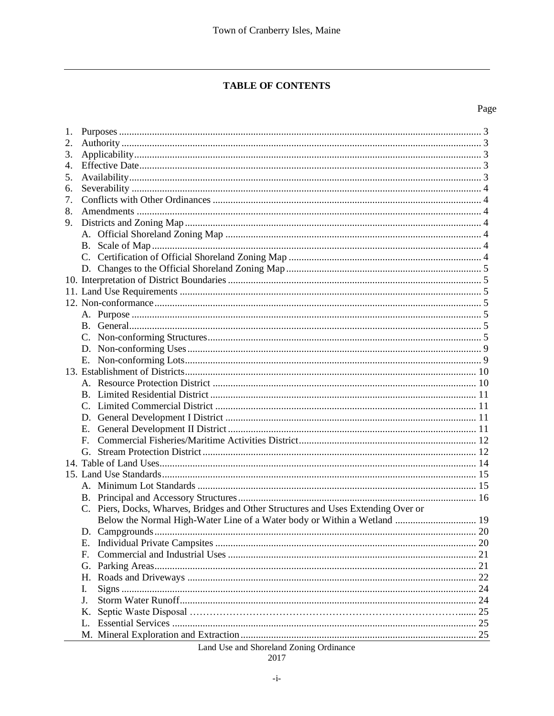# **TABLE OF CONTENTS**

### Page

| 1.               |    |                                                                                   |    |
|------------------|----|-----------------------------------------------------------------------------------|----|
| 2.               |    |                                                                                   |    |
| 3.               |    |                                                                                   |    |
| $\overline{4}$ . |    |                                                                                   |    |
| 5.               |    |                                                                                   |    |
| 6.               |    |                                                                                   |    |
| 7.               |    |                                                                                   |    |
| 8.               |    |                                                                                   |    |
| 9.               |    |                                                                                   |    |
|                  |    |                                                                                   |    |
|                  |    |                                                                                   |    |
|                  |    |                                                                                   |    |
|                  |    |                                                                                   |    |
|                  |    |                                                                                   |    |
|                  |    |                                                                                   |    |
|                  |    |                                                                                   |    |
|                  |    |                                                                                   |    |
|                  |    |                                                                                   |    |
|                  |    |                                                                                   |    |
|                  |    |                                                                                   |    |
|                  | Е. |                                                                                   |    |
|                  |    |                                                                                   |    |
|                  |    |                                                                                   |    |
|                  |    |                                                                                   |    |
|                  |    |                                                                                   |    |
|                  |    |                                                                                   |    |
|                  | Е. |                                                                                   |    |
|                  | F  |                                                                                   |    |
|                  |    |                                                                                   |    |
|                  |    |                                                                                   |    |
|                  |    |                                                                                   |    |
|                  |    |                                                                                   |    |
|                  |    |                                                                                   |    |
|                  |    | C. Piers, Docks, Wharves, Bridges and Other Structures and Uses Extending Over or |    |
|                  |    |                                                                                   |    |
|                  |    |                                                                                   |    |
|                  | Е. |                                                                                   | 20 |
|                  | F. |                                                                                   | 21 |
|                  | G. |                                                                                   | 21 |
|                  | Н. |                                                                                   | 22 |
|                  | I. |                                                                                   | 24 |
|                  | J. |                                                                                   |    |
|                  | Κ. |                                                                                   |    |
|                  | L. |                                                                                   |    |
|                  |    |                                                                                   | 25 |

Land Use and Shoreland Zoning Ordinance

$$
2017\\
$$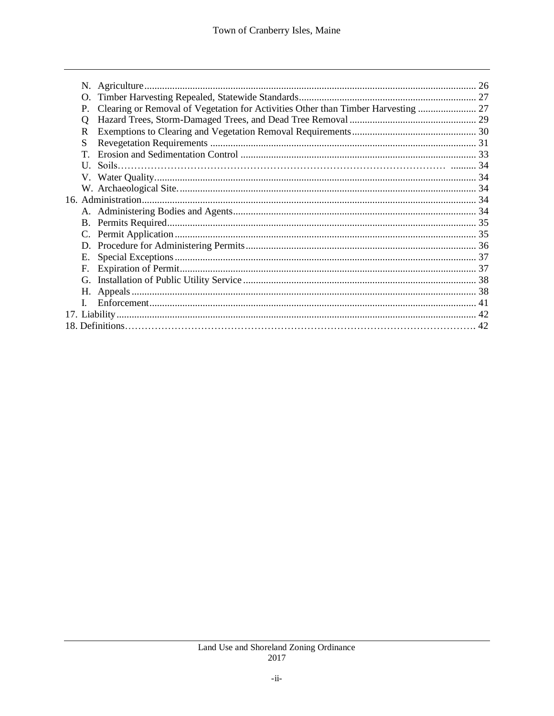| O. |  |
|----|--|
| P. |  |
| O  |  |
| R  |  |
| S  |  |
| T  |  |
|    |  |
|    |  |
|    |  |
|    |  |
|    |  |
|    |  |
|    |  |
|    |  |
| Ε. |  |
| F. |  |
| G. |  |
| Н. |  |
|    |  |
|    |  |
|    |  |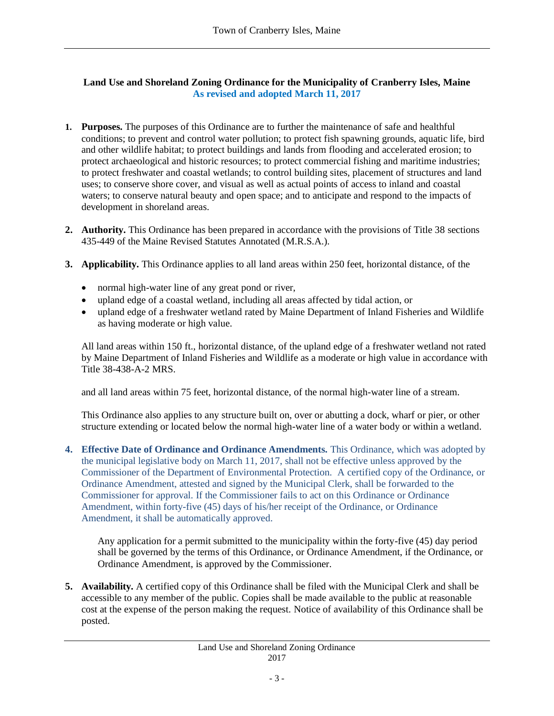## **Land Use and Shoreland Zoning Ordinance for the Municipality of Cranberry Isles, Maine As revised and adopted March 11, 2017**

- **1. Purposes.** The purposes of this Ordinance are to further the maintenance of safe and healthful conditions; to prevent and control water pollution; to protect fish spawning grounds, aquatic life, bird and other wildlife habitat; to protect buildings and lands from flooding and accelerated erosion; to protect archaeological and historic resources; to protect commercial fishing and maritime industries; to protect freshwater and coastal wetlands; to control building sites, placement of structures and land uses; to conserve shore cover, and visual as well as actual points of access to inland and coastal waters; to conserve natural beauty and open space; and to anticipate and respond to the impacts of development in shoreland areas.
- **2. Authority.** This Ordinance has been prepared in accordance with the provisions of Title 38 sections 435-449 of the Maine Revised Statutes Annotated (M.R.S.A.).
- **3. Applicability.** This Ordinance applies to all land areas within 250 feet, horizontal distance, of the
	- normal high-water line of any great pond or river,
	- upland edge of a coastal wetland, including all areas affected by tidal action, or
	- upland edge of a freshwater wetland rated by Maine Department of Inland Fisheries and Wildlife as having moderate or high value.

All land areas within 150 ft., horizontal distance, of the upland edge of a freshwater wetland not rated by Maine Department of Inland Fisheries and Wildlife as a moderate or high value in accordance with Title 38-438-A-2 MRS.

and all land areas within 75 feet, horizontal distance, of the normal high-water line of a stream.

This Ordinance also applies to any structure built on, over or abutting a dock, wharf or pier, or other structure extending or located below the normal high-water line of a water body or within a wetland.

**4. Effective Date of Ordinance and Ordinance Amendments.** This Ordinance, which was adopted by the municipal legislative body on March 11, 2017, shall not be effective unless approved by the Commissioner of the Department of Environmental Protection. A certified copy of the Ordinance, or Ordinance Amendment, attested and signed by the Municipal Clerk, shall be forwarded to the Commissioner for approval. If the Commissioner fails to act on this Ordinance or Ordinance Amendment, within forty-five (45) days of his/her receipt of the Ordinance, or Ordinance Amendment, it shall be automatically approved.

Any application for a permit submitted to the municipality within the forty-five (45) day period shall be governed by the terms of this Ordinance, or Ordinance Amendment, if the Ordinance, or Ordinance Amendment, is approved by the Commissioner.

**5. Availability.** A certified copy of this Ordinance shall be filed with the Municipal Clerk and shall be accessible to any member of the public. Copies shall be made available to the public at reasonable cost at the expense of the person making the request. Notice of availability of this Ordinance shall be posted.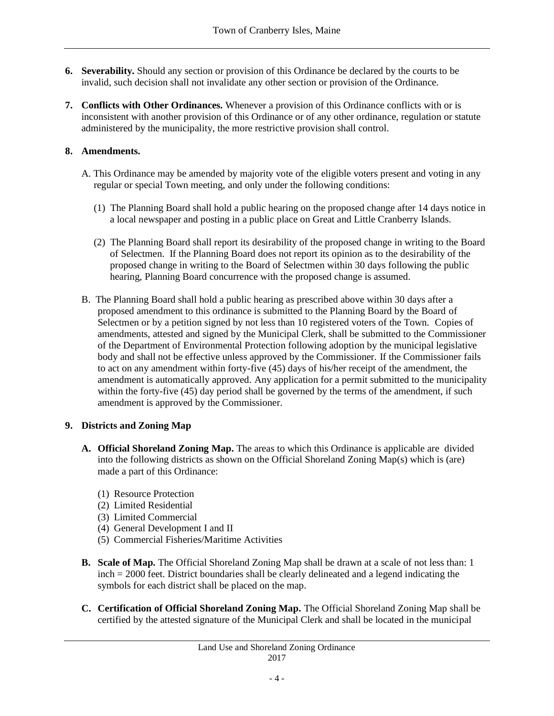- **6. Severability.** Should any section or provision of this Ordinance be declared by the courts to be invalid, such decision shall not invalidate any other section or provision of the Ordinance.
- **7. Conflicts with Other Ordinances.** Whenever a provision of this Ordinance conflicts with or is inconsistent with another provision of this Ordinance or of any other ordinance, regulation or statute administered by the municipality, the more restrictive provision shall control.

## **8. Amendments.**

- A. This Ordinance may be amended by majority vote of the eligible voters present and voting in any regular or special Town meeting, and only under the following conditions:
	- (1) The Planning Board shall hold a public hearing on the proposed change after 14 days notice in a local newspaper and posting in a public place on Great and Little Cranberry Islands.
	- (2) The Planning Board shall report its desirability of the proposed change in writing to the Board of Selectmen. If the Planning Board does not report its opinion as to the desirability of the proposed change in writing to the Board of Selectmen within 30 days following the public hearing, Planning Board concurrence with the proposed change is assumed.
- B. The Planning Board shall hold a public hearing as prescribed above within 30 days after a proposed amendment to this ordinance is submitted to the Planning Board by the Board of Selectmen or by a petition signed by not less than 10 registered voters of the Town. Copies of amendments, attested and signed by the Municipal Clerk, shall be submitted to the Commissioner of the Department of Environmental Protection following adoption by the municipal legislative body and shall not be effective unless approved by the Commissioner. If the Commissioner fails to act on any amendment within forty-five (45) days of his/her receipt of the amendment, the amendment is automatically approved. Any application for a permit submitted to the municipality within the forty-five (45) day period shall be governed by the terms of the amendment, if such amendment is approved by the Commissioner.

# **9. Districts and Zoning Map**

- **A. Official Shoreland Zoning Map.** The areas to which this Ordinance is applicable are divided into the following districts as shown on the Official Shoreland Zoning Map(s) which is (are) made a part of this Ordinance:
	- (1) Resource Protection
	- (2) Limited Residential
	- (3) Limited Commercial
	- (4) General Development I and II
	- (5) Commercial Fisheries/Maritime Activities
- **B. Scale of Map.** The Official Shoreland Zoning Map shall be drawn at a scale of not less than: 1 inch = 2000 feet. District boundaries shall be clearly delineated and a legend indicating the symbols for each district shall be placed on the map.
- **C. Certification of Official Shoreland Zoning Map.** The Official Shoreland Zoning Map shall be certified by the attested signature of the Municipal Clerk and shall be located in the municipal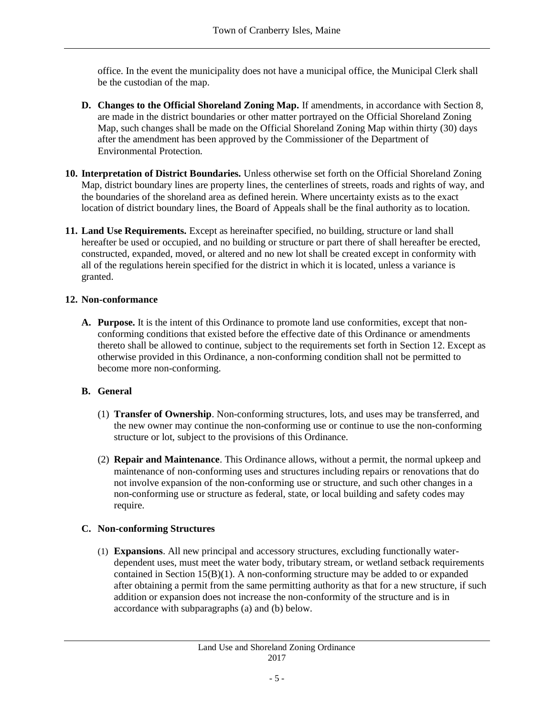office. In the event the municipality does not have a municipal office, the Municipal Clerk shall be the custodian of the map.

- **D. Changes to the Official Shoreland Zoning Map.** If amendments, in accordance with Section 8, are made in the district boundaries or other matter portrayed on the Official Shoreland Zoning Map, such changes shall be made on the Official Shoreland Zoning Map within thirty (30) days after the amendment has been approved by the Commissioner of the Department of Environmental Protection.
- **10. Interpretation of District Boundaries.** Unless otherwise set forth on the Official Shoreland Zoning Map, district boundary lines are property lines, the centerlines of streets, roads and rights of way, and the boundaries of the shoreland area as defined herein. Where uncertainty exists as to the exact location of district boundary lines, the Board of Appeals shall be the final authority as to location.
- **11. Land Use Requirements.** Except as hereinafter specified, no building, structure or land shall hereafter be used or occupied, and no building or structure or part there of shall hereafter be erected, constructed, expanded, moved, or altered and no new lot shall be created except in conformity with all of the regulations herein specified for the district in which it is located, unless a variance is granted.

# **12. Non-conformance**

**A. Purpose.** It is the intent of this Ordinance to promote land use conformities, except that nonconforming conditions that existed before the effective date of this Ordinance or amendments thereto shall be allowed to continue, subject to the requirements set forth in Section 12. Except as otherwise provided in this Ordinance, a non-conforming condition shall not be permitted to become more non-conforming.

# **B. General**

- (1) **Transfer of Ownership**. Non-conforming structures, lots, and uses may be transferred, and the new owner may continue the non-conforming use or continue to use the non-conforming structure or lot, subject to the provisions of this Ordinance.
- (2) **Repair and Maintenance**. This Ordinance allows, without a permit, the normal upkeep and maintenance of non-conforming uses and structures including repairs or renovations that do not involve expansion of the non-conforming use or structure, and such other changes in a non-conforming use or structure as federal, state, or local building and safety codes may require.

# **C. Non-conforming Structures**

(1) **Expansions**. All new principal and accessory structures, excluding functionally waterdependent uses, must meet the water body, tributary stream, or wetland setback requirements contained in Section 15(B)(1). A non-conforming structure may be added to or expanded after obtaining a permit from the same permitting authority as that for a new structure, if such addition or expansion does not increase the non-conformity of the structure and is in accordance with subparagraphs (a) and (b) below.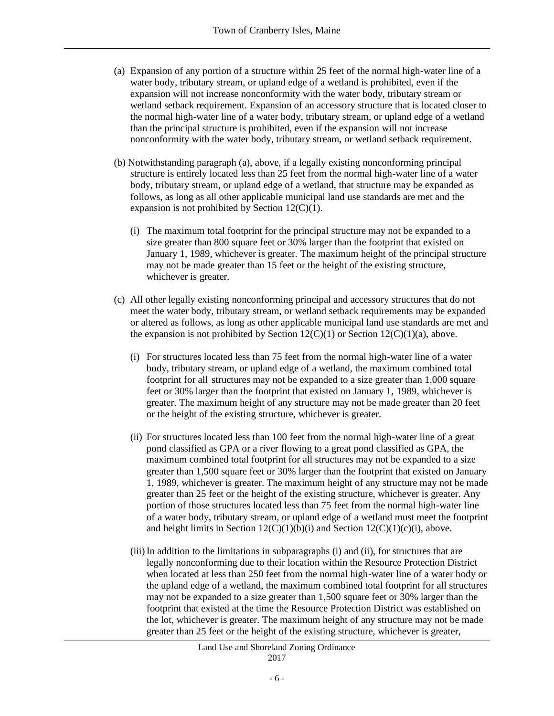- (a) Expansion of any portion of a structure within 25 feet of the normal high-water line of a water body, tributary stream, or upland edge of a wetland is prohibited, even if the expansion will not increase nonconformity with the water body, tributary stream or wetland setback requirement. Expansion of an accessory structure that is located closer to the normal high-water line of a water body, tributary stream, or upland edge of a wetland than the principal structure is prohibited, even if the expansion will not increase nonconformity with the water body, tributary stream, or wetland setback requirement.
- (b) Notwithstanding paragraph (a), above, if a legally existing nonconforming principal structure is entirely located less than 25 feet from the normal high-water line of a water body, tributary stream, or upland edge of a wetland, that structure may be expanded as follows, as long as all other applicable municipal land use standards are met and the expansion is not prohibited by Section 12(C)(1).
	- (i) The maximum total footprint for the principal structure may not be expanded to a size greater than 800 square feet or 30% larger than the footprint that existed on January 1, 1989, whichever is greater. The maximum height of the principal structure may not be made greater than 15 feet or the height of the existing structure, whichever is greater.
- (c) All other legally existing nonconforming principal and accessory structures that do not meet the water body, tributary stream, or wetland setback requirements may be expanded or altered as follows, as long as other applicable municipal land use standards are met and the expansion is not prohibited by Section  $12(C)(1)$  or Section  $12(C)(1)(a)$ , above.
	- (i) For structures located less than 75 feet from the normal high-water line of a water body, tributary stream, or upland edge of a wetland, the maximum combined total footprint for all structures may not be expanded to a size greater than 1,000 square feet or 30% larger than the footprint that existed on January 1, 1989, whichever is greater. The maximum height of any structure may not be made greater than 20 feet or the height of the existing structure, whichever is greater.
	- (ii) For structures located less than 100 feet from the normal high-water line of a great pond classified as GPA or a river flowing to a great pond classified as GPA, the maximum combined total footprint for all structures may not be expanded to a size greater than 1,500 square feet or 30% larger than the footprint that existed on January 1, 1989, whichever is greater. The maximum height of any structure may not be made greater than 25 feet or the height of the existing structure, whichever is greater. Any portion of those structures located less than 75 feet from the normal high-water line of a water body, tributary stream, or upland edge of a wetland must meet the footprint and height limits in Section  $12(C)(1)(b)(i)$  and Section  $12(C)(1)(c)(i)$ , above.
	- (iii)In addition to the limitations in subparagraphs (i) and (ii), for structures that are legally nonconforming due to their location within the Resource Protection District when located at less than 250 feet from the normal high-water line of a water body or the upland edge of a wetland, the maximum combined total footprint for all structures may not be expanded to a size greater than 1,500 square feet or 30% larger than the footprint that existed at the time the Resource Protection District was established on the lot, whichever is greater. The maximum height of any structure may not be made greater than 25 feet or the height of the existing structure, whichever is greater,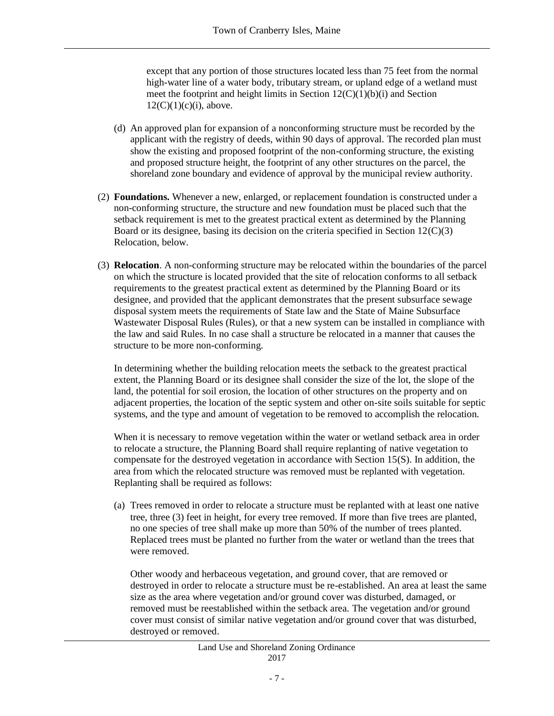except that any portion of those structures located less than 75 feet from the normal high-water line of a water body, tributary stream, or upland edge of a wetland must meet the footprint and height limits in Section  $12(C)(1)(b)(i)$  and Section  $12(C)(1)(c)(i)$ , above.

- (d) An approved plan for expansion of a nonconforming structure must be recorded by the applicant with the registry of deeds, within 90 days of approval. The recorded plan must show the existing and proposed footprint of the non-conforming structure, the existing and proposed structure height, the footprint of any other structures on the parcel, the shoreland zone boundary and evidence of approval by the municipal review authority.
- (2) **Foundations.** Whenever a new, enlarged, or replacement foundation is constructed under a non-conforming structure, the structure and new foundation must be placed such that the setback requirement is met to the greatest practical extent as determined by the Planning Board or its designee, basing its decision on the criteria specified in Section 12(C)(3) Relocation, below.
- (3) **Relocation**. A non-conforming structure may be relocated within the boundaries of the parcel on which the structure is located provided that the site of relocation conforms to all setback requirements to the greatest practical extent as determined by the Planning Board or its designee, and provided that the applicant demonstrates that the present subsurface sewage disposal system meets the requirements of State law and the State of Maine Subsurface Wastewater Disposal Rules (Rules), or that a new system can be installed in compliance with the law and said Rules. In no case shall a structure be relocated in a manner that causes the structure to be more non-conforming.

In determining whether the building relocation meets the setback to the greatest practical extent, the Planning Board or its designee shall consider the size of the lot, the slope of the land, the potential for soil erosion, the location of other structures on the property and on adjacent properties, the location of the septic system and other on-site soils suitable for septic systems, and the type and amount of vegetation to be removed to accomplish the relocation.

When it is necessary to remove vegetation within the water or wetland setback area in order to relocate a structure, the Planning Board shall require replanting of native vegetation to compensate for the destroyed vegetation in accordance with Section 15(S). In addition, the area from which the relocated structure was removed must be replanted with vegetation. Replanting shall be required as follows:

(a) Trees removed in order to relocate a structure must be replanted with at least one native tree, three (3) feet in height, for every tree removed. If more than five trees are planted, no one species of tree shall make up more than 50% of the number of trees planted. Replaced trees must be planted no further from the water or wetland than the trees that were removed.

Other woody and herbaceous vegetation, and ground cover, that are removed or destroyed in order to relocate a structure must be re-established. An area at least the same size as the area where vegetation and/or ground cover was disturbed, damaged, or removed must be reestablished within the setback area. The vegetation and/or ground cover must consist of similar native vegetation and/or ground cover that was disturbed, destroyed or removed.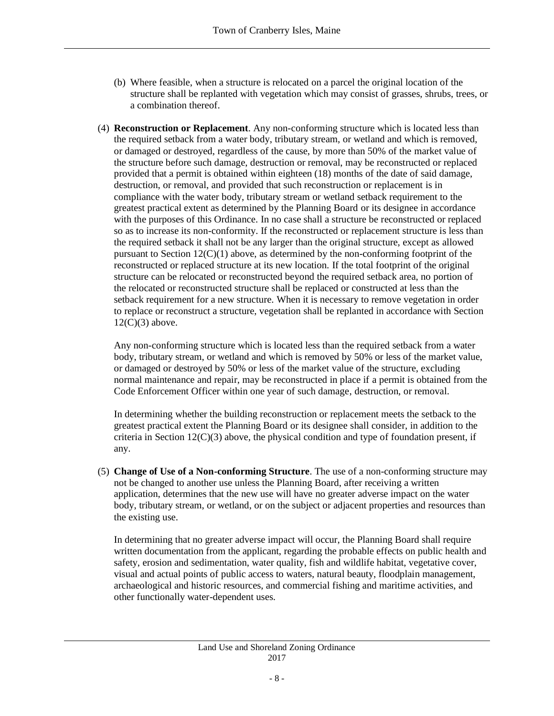- (b) Where feasible, when a structure is relocated on a parcel the original location of the structure shall be replanted with vegetation which may consist of grasses, shrubs, trees, or a combination thereof.
- (4) **Reconstruction or Replacement**. Any non-conforming structure which is located less than the required setback from a water body, tributary stream, or wetland and which is removed, or damaged or destroyed, regardless of the cause, by more than 50% of the market value of the structure before such damage, destruction or removal, may be reconstructed or replaced provided that a permit is obtained within eighteen (18) months of the date of said damage, destruction, or removal, and provided that such reconstruction or replacement is in compliance with the water body, tributary stream or wetland setback requirement to the greatest practical extent as determined by the Planning Board or its designee in accordance with the purposes of this Ordinance. In no case shall a structure be reconstructed or replaced so as to increase its non-conformity. If the reconstructed or replacement structure is less than the required setback it shall not be any larger than the original structure, except as allowed pursuant to Section 12(C)(1) above, as determined by the non-conforming footprint of the reconstructed or replaced structure at its new location. If the total footprint of the original structure can be relocated or reconstructed beyond the required setback area, no portion of the relocated or reconstructed structure shall be replaced or constructed at less than the setback requirement for a new structure. When it is necessary to remove vegetation in order to replace or reconstruct a structure, vegetation shall be replanted in accordance with Section  $12(C)(3)$  above.

Any non-conforming structure which is located less than the required setback from a water body, tributary stream, or wetland and which is removed by 50% or less of the market value, or damaged or destroyed by 50% or less of the market value of the structure, excluding normal maintenance and repair, may be reconstructed in place if a permit is obtained from the Code Enforcement Officer within one year of such damage, destruction, or removal.

In determining whether the building reconstruction or replacement meets the setback to the greatest practical extent the Planning Board or its designee shall consider, in addition to the criteria in Section 12(C)(3) above, the physical condition and type of foundation present, if any.

(5) **Change of Use of a Non-conforming Structure**. The use of a non-conforming structure may not be changed to another use unless the Planning Board, after receiving a written application, determines that the new use will have no greater adverse impact on the water body, tributary stream, or wetland, or on the subject or adjacent properties and resources than the existing use.

In determining that no greater adverse impact will occur, the Planning Board shall require written documentation from the applicant, regarding the probable effects on public health and safety, erosion and sedimentation, water quality, fish and wildlife habitat, vegetative cover, visual and actual points of public access to waters, natural beauty, floodplain management, archaeological and historic resources, and commercial fishing and maritime activities, and other functionally water-dependent uses.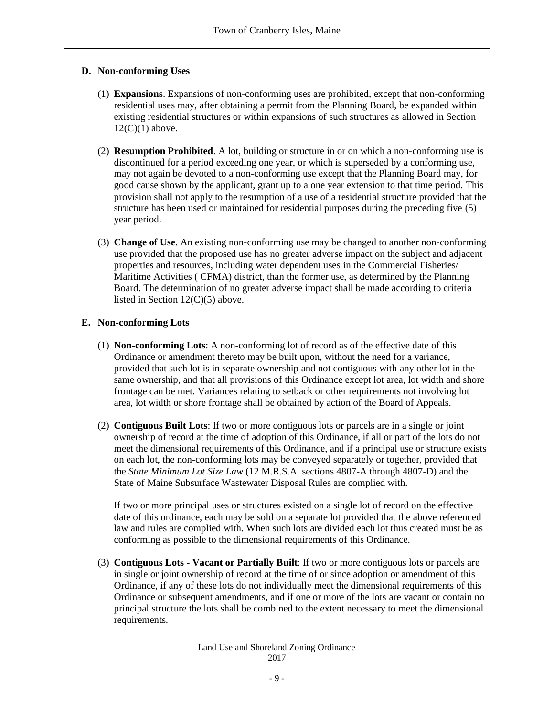## **D. Non-conforming Uses**

- (1) **Expansions**. Expansions of non-conforming uses are prohibited, except that non-conforming residential uses may, after obtaining a permit from the Planning Board, be expanded within existing residential structures or within expansions of such structures as allowed in Section  $12(C)(1)$  above.
- (2) **Resumption Prohibited**. A lot, building or structure in or on which a non-conforming use is discontinued for a period exceeding one year, or which is superseded by a conforming use, may not again be devoted to a non-conforming use except that the Planning Board may, for good cause shown by the applicant, grant up to a one year extension to that time period. This provision shall not apply to the resumption of a use of a residential structure provided that the structure has been used or maintained for residential purposes during the preceding five (5) year period.
- (3) **Change of Use**. An existing non-conforming use may be changed to another non-conforming use provided that the proposed use has no greater adverse impact on the subject and adjacent properties and resources, including water dependent uses in the Commercial Fisheries/ Maritime Activities ( CFMA) district, than the former use, as determined by the Planning Board. The determination of no greater adverse impact shall be made according to criteria listed in Section 12(C)(5) above.

## **E. Non-conforming Lots**

- (1) **Non-conforming Lots**: A non-conforming lot of record as of the effective date of this Ordinance or amendment thereto may be built upon, without the need for a variance, provided that such lot is in separate ownership and not contiguous with any other lot in the same ownership, and that all provisions of this Ordinance except lot area, lot width and shore frontage can be met. Variances relating to setback or other requirements not involving lot area, lot width or shore frontage shall be obtained by action of the Board of Appeals.
- (2) **Contiguous Built Lots**: If two or more contiguous lots or parcels are in a single or joint ownership of record at the time of adoption of this Ordinance, if all or part of the lots do not meet the dimensional requirements of this Ordinance, and if a principal use or structure exists on each lot, the non-conforming lots may be conveyed separately or together, provided that the *State Minimum Lot Size Law* (12 M.R.S.A. sections 4807-A through 4807-D) and the State of Maine Subsurface Wastewater Disposal Rules are complied with.

If two or more principal uses or structures existed on a single lot of record on the effective date of this ordinance, each may be sold on a separate lot provided that the above referenced law and rules are complied with. When such lots are divided each lot thus created must be as conforming as possible to the dimensional requirements of this Ordinance.

(3) **Contiguous Lots - Vacant or Partially Built**: If two or more contiguous lots or parcels are in single or joint ownership of record at the time of or since adoption or amendment of this Ordinance, if any of these lots do not individually meet the dimensional requirements of this Ordinance or subsequent amendments, and if one or more of the lots are vacant or contain no principal structure the lots shall be combined to the extent necessary to meet the dimensional requirements.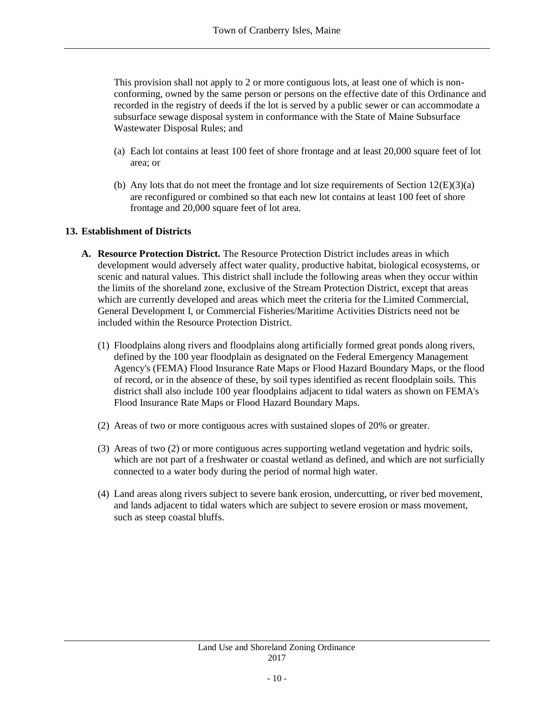This provision shall not apply to 2 or more contiguous lots, at least one of which is nonconforming, owned by the same person or persons on the effective date of this Ordinance and recorded in the registry of deeds if the lot is served by a public sewer or can accommodate a subsurface sewage disposal system in conformance with the State of Maine Subsurface Wastewater Disposal Rules; and

- (a) Each lot contains at least 100 feet of shore frontage and at least 20,000 square feet of lot area; or
- (b) Any lots that do not meet the frontage and lot size requirements of Section  $12(E)(3)(a)$ are reconfigured or combined so that each new lot contains at least 100 feet of shore frontage and 20,000 square feet of lot area.

## **13. Establishment of Districts**

- **A. Resource Protection District.** The Resource Protection District includes areas in which development would adversely affect water quality, productive habitat, biological ecosystems, or scenic and natural values. This district shall include the following areas when they occur within the limits of the shoreland zone, exclusive of the Stream Protection District, except that areas which are currently developed and areas which meet the criteria for the Limited Commercial, General Development I, or Commercial Fisheries/Maritime Activities Districts need not be included within the Resource Protection District.
	- (1) Floodplains along rivers and floodplains along artificially formed great ponds along rivers, defined by the 100 year floodplain as designated on the Federal Emergency Management Agency's (FEMA) Flood Insurance Rate Maps or Flood Hazard Boundary Maps, or the flood of record, or in the absence of these, by soil types identified as recent floodplain soils. This district shall also include 100 year floodplains adjacent to tidal waters as shown on FEMA's Flood Insurance Rate Maps or Flood Hazard Boundary Maps.
	- (2) Areas of two or more contiguous acres with sustained slopes of 20% or greater.
	- (3) Areas of two (2) or more contiguous acres supporting wetland vegetation and hydric soils, which are not part of a freshwater or coastal wetland as defined, and which are not surficially connected to a water body during the period of normal high water.
	- (4) Land areas along rivers subject to severe bank erosion, undercutting, or river bed movement, and lands adjacent to tidal waters which are subject to severe erosion or mass movement, such as steep coastal bluffs.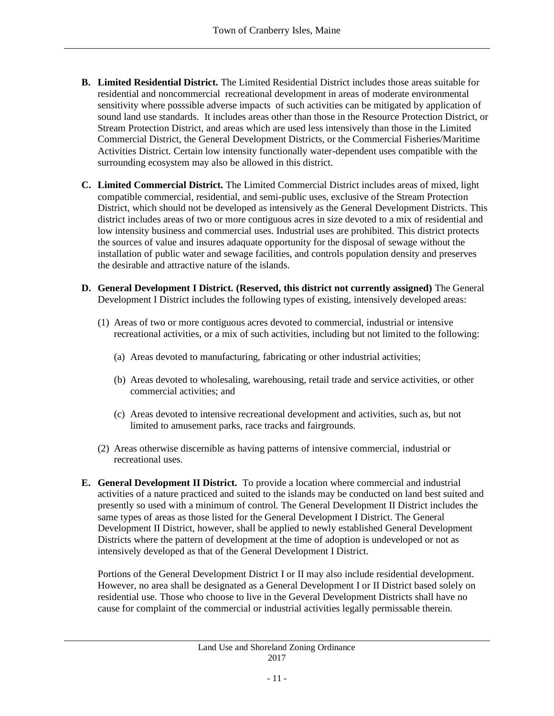- **B. Limited Residential District.** The Limited Residential District includes those areas suitable for residential and noncommercial recreational development in areas of moderate environmental sensitivity where posssible adverse impacts of such activities can be mitigated by application of sound land use standards. It includes areas other than those in the Resource Protection District, or Stream Protection District, and areas which are used less intensively than those in the Limited Commercial District, the General Development Districts, or the Commercial Fisheries/Maritime Activities District. Certain low intensity functionally water-dependent uses compatible with the surrounding ecosystem may also be allowed in this district.
- **C. Limited Commercial District.** The Limited Commercial District includes areas of mixed, light compatible commercial, residential, and semi-public uses, exclusive of the Stream Protection District, which should not be developed as intensively as the General Development Districts. This district includes areas of two or more contiguous acres in size devoted to a mix of residential and low intensity business and commercial uses. Industrial uses are prohibited. This district protects the sources of value and insures adaquate opportunity for the disposal of sewage without the installation of public water and sewage facilities, and controls population density and preserves the desirable and attractive nature of the islands.
- **D. General Development I District. (Reserved, this district not currently assigned)** The General Development I District includes the following types of existing, intensively developed areas:
	- (1) Areas of two or more contiguous acres devoted to commercial, industrial or intensive recreational activities, or a mix of such activities, including but not limited to the following:
		- (a) Areas devoted to manufacturing, fabricating or other industrial activities;
		- (b) Areas devoted to wholesaling, warehousing, retail trade and service activities, or other commercial activities; and
		- (c) Areas devoted to intensive recreational development and activities, such as, but not limited to amusement parks, race tracks and fairgrounds.
	- (2) Areas otherwise discernible as having patterns of intensive commercial, industrial or recreational uses.
- **E. General Development II District.** To provide a location where commercial and industrial activities of a nature practiced and suited to the islands may be conducted on land best suited and presently so used with a minimum of control. The General Development II District includes the same types of areas as those listed for the General Development I District. The General Development II District, however, shall be applied to newly established General Development Districts where the pattern of development at the time of adoption is undeveloped or not as intensively developed as that of the General Development I District.

Portions of the General Development District I or II may also include residential development. However, no area shall be designated as a General Development I or II District based solely on residential use. Those who choose to live in the Geveral Development Districts shall have no cause for complaint of the commercial or industrial activities legally permissable therein.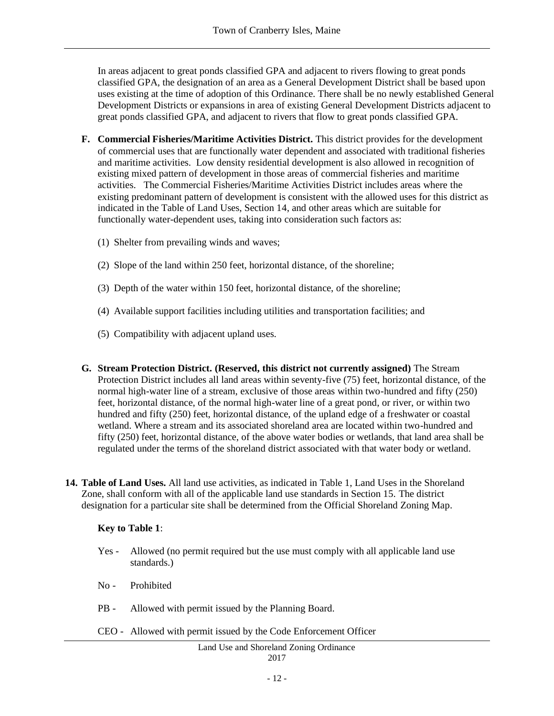In areas adjacent to great ponds classified GPA and adjacent to rivers flowing to great ponds classified GPA, the designation of an area as a General Development District shall be based upon uses existing at the time of adoption of this Ordinance. There shall be no newly established General Development Districts or expansions in area of existing General Development Districts adjacent to great ponds classified GPA, and adjacent to rivers that flow to great ponds classified GPA.

- **F. Commercial Fisheries/Maritime Activities District.** This district provides for the development of commercial uses that are functionally water dependent and associated with traditional fisheries and maritime activities. Low density residential development is also allowed in recognition of existing mixed pattern of development in those areas of commercial fisheries and maritime activities. The Commercial Fisheries/Maritime Activities District includes areas where the existing predominant pattern of development is consistent with the allowed uses for this district as indicated in the Table of Land Uses, Section 14, and other areas which are suitable for functionally water-dependent uses, taking into consideration such factors as:
	- (1) Shelter from prevailing winds and waves;
	- (2) Slope of the land within 250 feet, horizontal distance, of the shoreline;
	- (3) Depth of the water within 150 feet, horizontal distance, of the shoreline;
	- (4) Available support facilities including utilities and transportation facilities; and
	- (5) Compatibility with adjacent upland uses.
- **G. Stream Protection District. (Reserved, this district not currently assigned)** The Stream Protection District includes all land areas within seventy-five (75) feet, horizontal distance, of the normal high-water line of a stream, exclusive of those areas within two-hundred and fifty (250) feet, horizontal distance, of the normal high-water line of a great pond, or river, or within two hundred and fifty (250) feet, horizontal distance, of the upland edge of a freshwater or coastal wetland. Where a stream and its associated shoreland area are located within two-hundred and fifty (250) feet, horizontal distance, of the above water bodies or wetlands, that land area shall be regulated under the terms of the shoreland district associated with that water body or wetland.
- **14. Table of Land Uses.** All land use activities, as indicated in Table 1, Land Uses in the Shoreland Zone, shall conform with all of the applicable land use standards in Section 15. The district designation for a particular site shall be determined from the Official Shoreland Zoning Map.

#### **Key to Table 1**:

- Yes Allowed (no permit required but the use must comply with all applicable land use standards.)
- No Prohibited
- PB Allowed with permit issued by the Planning Board.
- CEO Allowed with permit issued by the Code Enforcement Officer

#### Land Use and Shoreland Zoning Ordinance 2017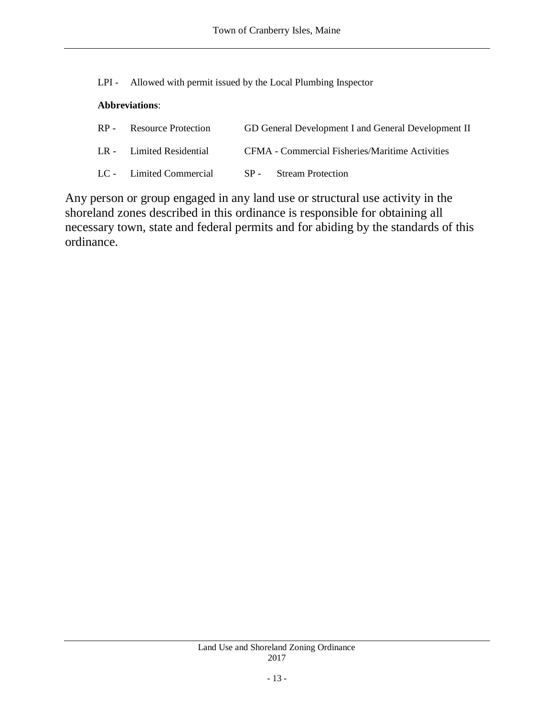LPI - Allowed with permit issued by the Local Plumbing Inspector

# **Abbreviations**:

| RP - Resource Protection                       | GD General Development I and General Development II    |
|------------------------------------------------|--------------------------------------------------------|
| LR - Limited Residential                       | <b>CFMA</b> - Commercial Fisheries/Maritime Activities |
| LC - Limited Commercial SP - Stream Protection |                                                        |

Any person or group engaged in any land use or structural use activity in the shoreland zones described in this ordinance is responsible for obtaining all necessary town, state and federal permits and for abiding by the standards of this ordinance.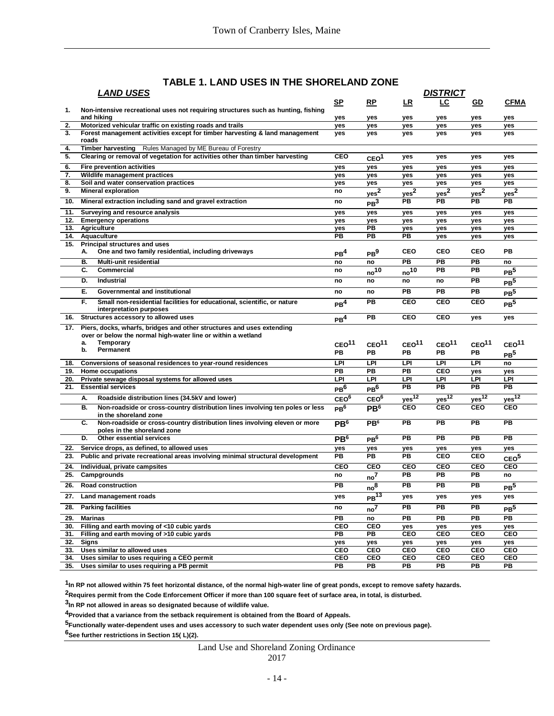## **TABLE 1. LAND USES IN THE SHORELAND ZONE**

|     | <b>LAND USES</b>                                                                                               | <b>DISTRICT</b>   |                    |                   |                   |                       |                   |
|-----|----------------------------------------------------------------------------------------------------------------|-------------------|--------------------|-------------------|-------------------|-----------------------|-------------------|
|     |                                                                                                                | SP                | RP                 | LR                | LC                | GD                    | <b>CFMA</b>       |
| 1.  | Non-intensive recreational uses not requiring structures such as hunting, fishing                              |                   |                    |                   |                   |                       |                   |
|     | and hiking                                                                                                     | yes               | yes                | yes               | yes               | yes                   | yes               |
| 2.  | Motorized vehicular traffic on existing roads and trails                                                       | yes               | yes                | yes               | yes               | yes                   | yes               |
| 3.  | Forest management activities except for timber harvesting & land management<br>roads                           | <b>ves</b>        | yes                | yes               | yes               | yes                   | yes               |
| 4.  | Rules Managed by ME Bureau of Forestry<br><b>Timber harvesting</b>                                             |                   |                    |                   |                   |                       |                   |
| 5.  | Clearing or removal of vegetation for activities other than timber harvesting                                  | CEO               | CEO <sup>1</sup>   | yes               | yes               | yes                   | yes               |
| 6.  | <b>Fire prevention activities</b>                                                                              | yes               | yes                | yes               | yes               | yes                   | yes               |
| 7.  | Wildlife management practices                                                                                  | yes               | yes                | yes               | yes               | yes                   | yes               |
| 8.  | Soil and water conservation practices                                                                          | yes               | yes                | yes               | yes               | yes                   | yes               |
| 9.  | <b>Mineral exploration</b>                                                                                     | no                | yes <sup>2</sup>   | yes <sup>2</sup>  | yes <sup>2</sup>  | yes <sup>2</sup>      | yes <sup>2</sup>  |
| 10. | Mineral extraction including sand and gravel extraction                                                        | no                | PB <sup>3</sup>    | PB                | PB                | $\overline{PB}$       | PB                |
| 11. | Surveying and resource analysis                                                                                | ves               | yes                | yes               | yes               | yes                   | yes               |
| 12. | <b>Emergency operations</b>                                                                                    | yes               | yes                | yes               | yes               | yes                   | yes               |
| 13. | Agriculture                                                                                                    | <b>ves</b>        | PB                 | <b>ves</b>        | yes               | yes                   | yes               |
| 14. | Aquaculture                                                                                                    | PВ                | PB                 | PВ                | yes               | yes                   | yes               |
| 15. | <b>Principal structures and uses</b><br>One and two family residential, including driveways<br>А.              | PB <sup>4</sup>   | PB <sup>9</sup>    | CEO               | <b>CEO</b>        | CEO                   | PB                |
|     | В.<br>Multi-unit residential                                                                                   | no                | no                 | PB                | PB                | <b>PB</b>             | no                |
|     | С.<br><b>Commercial</b>                                                                                        | no                | $no^{10}$          | no <sup>10</sup>  | PB                | <b>PB</b>             | PB <sup>5</sup>   |
|     | Industrial<br>D.                                                                                               |                   |                    |                   |                   | <b>PB</b>             |                   |
|     |                                                                                                                | no                | no                 | no                | no                |                       | PB <sup>5</sup>   |
|     | Ε.<br><b>Governmental and institutional</b>                                                                    | no                | no                 | PB                | PB                | <b>PB</b>             | PB <sup>5</sup>   |
|     | F.<br>Small non-residential facilities for educational, scientific, or nature<br>interpretation purposes       | PB <sup>4</sup>   | PB                 | <b>CEO</b>        | <b>CEO</b>        | <b>CEO</b>            | PB <sup>5</sup>   |
| 16. | Structures accessory to allowed uses                                                                           | PB <sup>4</sup>   | PB                 | <b>CEO</b>        | <b>CEO</b>        | yes                   | yes               |
|     | 17. Piers, docks, wharfs, bridges and other structures and uses extending                                      |                   |                    |                   |                   |                       |                   |
|     | over or below the normal high-water line or within a wetland                                                   |                   |                    |                   |                   |                       |                   |
|     | <b>Temporary</b><br>a.                                                                                         | CEO <sup>11</sup> | CEO <sup>11</sup>  | CEO <sup>11</sup> | CEO <sup>11</sup> | CEO <sup>11</sup>     | CEO <sup>11</sup> |
|     | Permanent<br>b.                                                                                                | PB                | PВ                 | PB                | PВ                | PВ                    | PB <sup>5</sup>   |
| 18. | Conversions of seasonal residences to year-round residences                                                    | <b>LPI</b>        | LPI                | LPI               | <b>LPI</b>        | LPI                   | no                |
| 19. | Home occupations                                                                                               | PB                | <b>PB</b>          | PB                | <b>CEO</b>        | yes                   | yes               |
| 20. | Private sewage disposal systems for allowed uses                                                               | LPI               | LPI                | LPI               | LPI               | LPI                   | <b>LPI</b>        |
| 21. | <b>Essential services</b>                                                                                      | PB <sup>6</sup>   | PB <sup>6</sup>    | PB                | PB                | <b>PB</b>             | <b>PB</b>         |
|     |                                                                                                                |                   |                    |                   |                   |                       |                   |
|     | Roadside distribution lines (34.5kV and lower)<br>А.                                                           | CEO <sup>6</sup>  | CEO <sup>6</sup>   | yes <sup>12</sup> | $yes^{12}$        | $yes^{\overline{12}}$ | $yes^{12}$        |
|     | В.<br>Non-roadside or cross-country distribution lines involving ten poles or less<br>in the shoreland zone    | PB <sup>6</sup>   | PB <sup>6</sup>    | <b>CEO</b>        | <b>CEO</b>        | <b>CEO</b>            | <b>CEO</b>        |
|     | Non-roadside or cross-country distribution lines involving eleven or more<br>С.<br>poles in the shoreland zone | PB <sup>6</sup>   | PB <sup>6</sup>    | PB                | PB                | <b>PB</b>             | PB                |
|     | D.<br><b>Other essential services</b>                                                                          | PB <sup>6</sup>   | PB <sup>6</sup>    | PB                | PB                | <b>PB</b>             | <b>PB</b>         |
| 22. | Service drops, as defined, to allowed uses                                                                     | yes               | yes                | yes               | yes               | yes                   | yes               |
|     | 23. Public and private recreational areas involving minimal structural development                             | PB                | PB                 | PB                | <b>CEO</b>        | <b>CEO</b>            | CEO <sup>5</sup>  |
| 24. | Individual, private campsites                                                                                  | CEO               | <b>CEO</b>         | CEO               | <b>CEO</b>        | <b>CEO</b>            | <b>CEO</b>        |
| 25. | Campgrounds                                                                                                    | no                |                    | PB                | PB                | <b>PB</b>             | no                |
|     |                                                                                                                |                   | no <sup>7</sup>    |                   |                   |                       |                   |
| 26. | <b>Road construction</b>                                                                                       | PB                | no <sup>8</sup>    | PB                | PB                | <b>PB</b>             | PB <sup>5</sup>   |
| 27. | Land management roads                                                                                          | yes               | $PB$ <sup>13</sup> | yes               | yes               | yes                   | yes               |
| 28. | <b>Parking facilities</b>                                                                                      | no                | no <sup>7</sup>    | $\overline{PB}$   | PB                | PB                    | PB <sup>5</sup>   |
| 29. | <b>Marinas</b>                                                                                                 | PВ                | no                 | PB                | PB                | $\overline{PB}$       | PB                |
|     |                                                                                                                |                   |                    |                   |                   |                       |                   |
|     | 30. Filling and earth moving of <10 cubic yards                                                                | <b>CEO</b>        | CEO                | yes               | yes               | yes                   | yes               |
|     | 31. Filling and earth moving of >10 cubic yards                                                                | PВ                | PB                 | CEO               | <b>CEO</b>        | CEO                   | CEO               |
|     | 32. Signs                                                                                                      | yes               | yes                | yes               | yes               | yes                   | yes               |
|     | 33. Uses similar to allowed uses                                                                               | CEO               | CEO                | CEO               | <b>CEO</b>        | CEO                   | CEO               |
| 34. | Uses similar to uses requiring a CEO permit<br>35. Uses similar to uses requiring a PB permit                  | <b>CEO</b><br>РB  | CEO<br>PB          | CEO<br>PB         | <b>CEO</b><br>PB  | CEO<br>РB             | CEO<br>PB         |

**1 In RP not allowed within 75 feet horizontal distance, of the normal high-water line of great ponds, except to remove safety hazards.**

**2Requires permit from the Code Enforcement Officer if more than 100 square feet of surface area, in total, is disturbed.**

**3 In RP not allowed in areas so designated because of wildlife value.**

**4Provided that a variance from the setback requirement is obtained from the Board of Appeals.**

**5Functionally water-dependent uses and uses accessory to such water dependent uses only (See note on previous page).**

**6See further restrictions in Section 15( L)(2).**

Land Use and Shoreland Zoning Ordinance

2017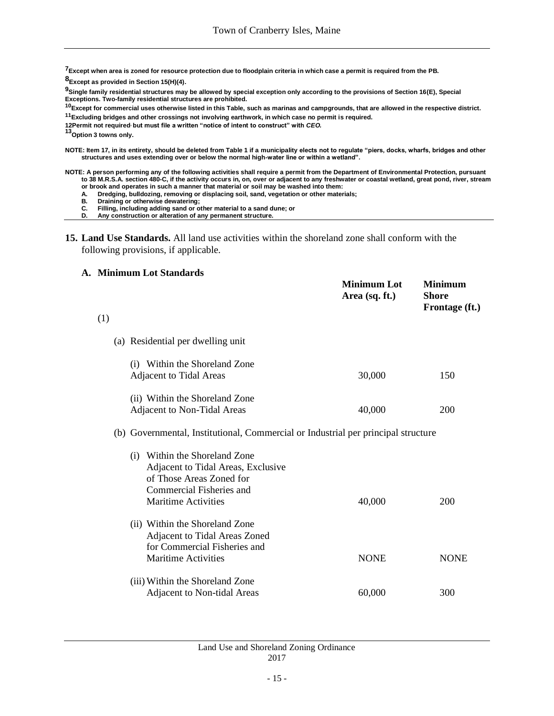**7Except when area is zoned for resource protection due to floodplain criteria in which case a permit is required from the PB.**

**8Except as provided in Section 15(H)(4).**

**9Single family residential structures may be allowed by special exception only according to the provisions of Section 16(E), Special Exceptions. Two-family residential structures are prohibited.**

**<sup>10</sup>Except for commercial uses otherwise listed in this Table, such as marinas and campgrounds, that are allowed in the respective district. <sup>11</sup>Excluding bridges and other crossings not involving earthwork, in which case no permit is required.**

**12Permit not required, but must file a written "notice of intent to construct" with** *CEO.*

**<sup>13</sup>Option 3 towns only.**

**NOTE: Item 17, in its entirety, should be deleted from Table 1 if a municipality elects not to regulate "piers, docks, wharfs, bridges and other structures and uses extending over or below the normal high-water line or within a wetland".**

**NOTE: A person performing any of the following activities shall require a permit from the Department of Environmental Protection, pursuant to 38 M.R.S.A. section 480-C, if the activity occurs in, on, over or adjacent to any freshwater or coastal wetland, great pond, river, stream or brook and operates in such a manner that material or soil may be washed into them:**

**Minimum Lot Minimum**

- **A. Dredging, bulldozing, removing or displacing soil, sand, vegetation or other materials;**
- **B. Draining or otherwise dewatering;**
- **C. Filling, including adding sand or other material to a sand dune; or**
- **D. Any construction or alteration of any permanent structure.**
- **15. Land Use Standards.** All land use activities within the shoreland zone shall conform with the following provisions, if applicable.

#### **A. Minimum Lot Standards**

|     |                                                                                   | IVIINIMUM LOL<br>Area (sq. ft.) | IVIINIMUM<br><b>Shore</b><br>Frontage (ft.) |
|-----|-----------------------------------------------------------------------------------|---------------------------------|---------------------------------------------|
| (1) |                                                                                   |                                 |                                             |
|     | (a) Residential per dwelling unit                                                 |                                 |                                             |
|     | (i) Within the Shoreland Zone                                                     |                                 |                                             |
|     | <b>Adjacent to Tidal Areas</b>                                                    | 30,000                          | 150                                         |
|     | (ii) Within the Shoreland Zone                                                    |                                 |                                             |
|     | Adjacent to Non-Tidal Areas                                                       | 40,000                          | 200                                         |
|     | (b) Governmental, Institutional, Commercial or Industrial per principal structure |                                 |                                             |
|     | (i) Within the Shoreland Zone                                                     |                                 |                                             |
|     | Adjacent to Tidal Areas, Exclusive                                                |                                 |                                             |
|     | of Those Areas Zoned for<br>Commercial Fisheries and                              |                                 |                                             |
|     | Maritime Activities                                                               | 40,000                          | 200                                         |
|     | (ii) Within the Shoreland Zone                                                    |                                 |                                             |
|     | Adjacent to Tidal Areas Zoned                                                     |                                 |                                             |
|     | for Commercial Fisheries and                                                      |                                 |                                             |
|     | <b>Maritime Activities</b>                                                        | <b>NONE</b>                     | <b>NONE</b>                                 |
|     | (iii) Within the Shoreland Zone                                                   |                                 |                                             |
|     | Adjacent to Non-tidal Areas                                                       | 60,000                          | 300                                         |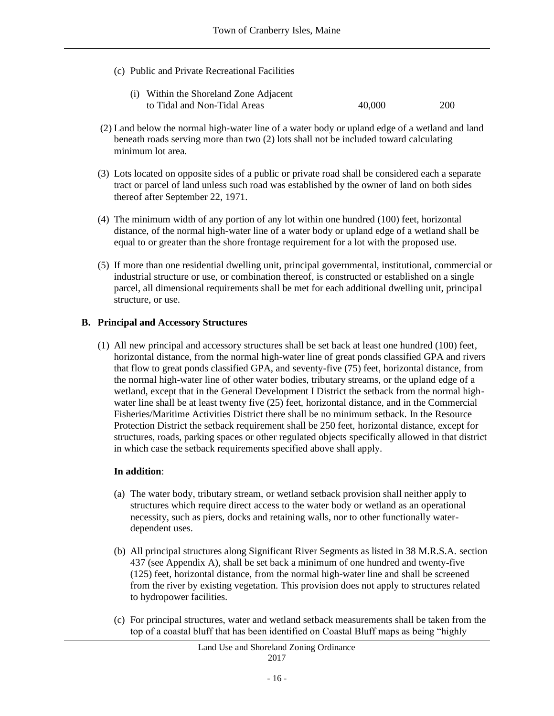(c) Public and Private Recreational Facilities

| (i) Within the Shoreland Zone Adjacent |        |     |
|----------------------------------------|--------|-----|
| to Tidal and Non-Tidal Areas           | 40,000 | 200 |

- (2) Land below the normal high-water line of a water body or upland edge of a wetland and land beneath roads serving more than two (2) lots shall not be included toward calculating minimum lot area.
- (3) Lots located on opposite sides of a public or private road shall be considered each a separate tract or parcel of land unless such road was established by the owner of land on both sides thereof after September 22, 1971.
- (4) The minimum width of any portion of any lot within one hundred (100) feet, horizontal distance, of the normal high-water line of a water body or upland edge of a wetland shall be equal to or greater than the shore frontage requirement for a lot with the proposed use.
- (5) If more than one residential dwelling unit, principal governmental, institutional, commercial or industrial structure or use, or combination thereof, is constructed or established on a single parcel, all dimensional requirements shall be met for each additional dwelling unit, principal structure, or use.

### **B. Principal and Accessory Structures**

(1) All new principal and accessory structures shall be set back at least one hundred (100) feet, horizontal distance, from the normal high-water line of great ponds classified GPA and rivers that flow to great ponds classified GPA, and seventy-five (75) feet, horizontal distance, from the normal high-water line of other water bodies, tributary streams, or the upland edge of a wetland, except that in the General Development I District the setback from the normal highwater line shall be at least twenty five (25) feet, horizontal distance, and in the Commercial Fisheries/Maritime Activities District there shall be no minimum setback. In the Resource Protection District the setback requirement shall be 250 feet, horizontal distance, except for structures, roads, parking spaces or other regulated objects specifically allowed in that district in which case the setback requirements specified above shall apply.

#### **In addition**:

- (a) The water body, tributary stream, or wetland setback provision shall neither apply to structures which require direct access to the water body or wetland as an operational necessity, such as piers, docks and retaining walls, nor to other functionally waterdependent uses.
- (b) All principal structures along Significant River Segments as listed in 38 M.R.S.A. section 437 (see Appendix A), shall be set back a minimum of one hundred and twenty-five (125) feet, horizontal distance, from the normal high-water line and shall be screened from the river by existing vegetation. This provision does not apply to structures related to hydropower facilities.
- (c) For principal structures, water and wetland setback measurements shall be taken from the top of a coastal bluff that has been identified on Coastal Bluff maps as being "highly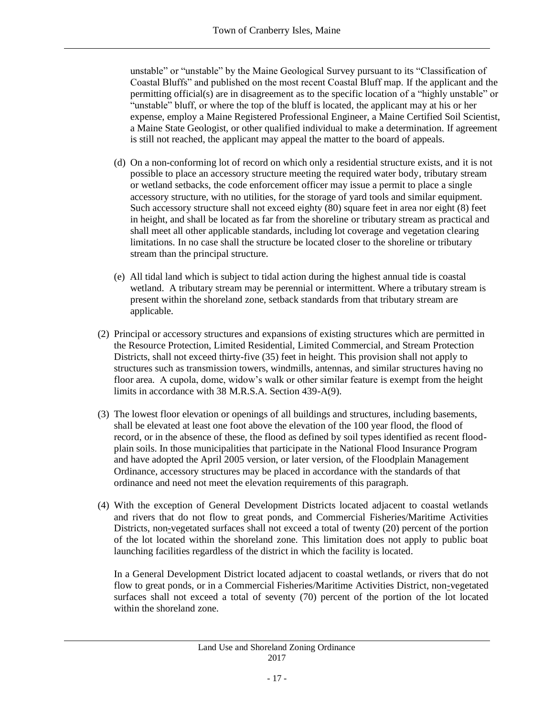unstable" or "unstable" by the Maine Geological Survey pursuant to its "Classification of Coastal Bluffs" and published on the most recent Coastal Bluff map. If the applicant and the permitting official(s) are in disagreement as to the specific location of a "highly unstable" or "unstable" bluff, or where the top of the bluff is located, the applicant may at his or her expense, employ a Maine Registered Professional Engineer, a Maine Certified Soil Scientist, a Maine State Geologist, or other qualified individual to make a determination. If agreement is still not reached, the applicant may appeal the matter to the board of appeals.

- (d) On a non-conforming lot of record on which only a residential structure exists, and it is not possible to place an accessory structure meeting the required water body, tributary stream or wetland setbacks, the code enforcement officer may issue a permit to place a single accessory structure, with no utilities, for the storage of yard tools and similar equipment. Such accessory structure shall not exceed eighty (80) square feet in area nor eight (8) feet in height, and shall be located as far from the shoreline or tributary stream as practical and shall meet all other applicable standards, including lot coverage and vegetation clearing limitations. In no case shall the structure be located closer to the shoreline or tributary stream than the principal structure.
- (e) All tidal land which is subject to tidal action during the highest annual tide is coastal wetland. A tributary stream may be perennial or intermittent. Where a tributary stream is present within the shoreland zone, setback standards from that tributary stream are applicable.
- (2) Principal or accessory structures and expansions of existing structures which are permitted in the Resource Protection, Limited Residential, Limited Commercial, and Stream Protection Districts, shall not exceed thirty-five (35) feet in height. This provision shall not apply to structures such as transmission towers, windmills, antennas, and similar structures having no floor area. A cupola, dome, widow's walk or other similar feature is exempt from the height limits in accordance with 38 M.R.S.A. Section 439-A(9).
- (3) The lowest floor elevation or openings of all buildings and structures, including basements, shall be elevated at least one foot above the elevation of the 100 year flood, the flood of record, or in the absence of these, the flood as defined by soil types identified as recent floodplain soils. In those municipalities that participate in the National Flood Insurance Program and have adopted the April 2005 version, or later version, of the Floodplain Management Ordinance, accessory structures may be placed in accordance with the standards of that ordinance and need not meet the elevation requirements of this paragraph.
- (4) With the exception of General Development Districts located adjacent to coastal wetlands and rivers that do not flow to great ponds, and Commercial Fisheries/Maritime Activities Districts, non-vegetated surfaces shall not exceed a total of twenty (20) percent of the portion of the lot located within the shoreland zone. This limitation does not apply to public boat launching facilities regardless of the district in which the facility is located.

In a General Development District located adjacent to coastal wetlands, or rivers that do not flow to great ponds, or in a Commercial Fisheries/Maritime Activities District, non-vegetated surfaces shall not exceed a total of seventy (70) percent of the portion of the lot located within the shoreland zone.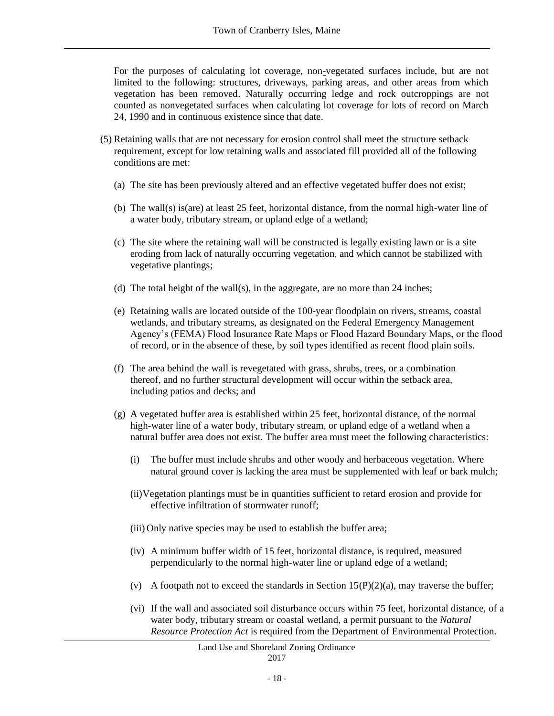For the purposes of calculating lot coverage, non-vegetated surfaces include, but are not limited to the following: structures, driveways, parking areas, and other areas from which vegetation has been removed. Naturally occurring ledge and rock outcroppings are not counted as nonvegetated surfaces when calculating lot coverage for lots of record on March 24, 1990 and in continuous existence since that date.

- (5) Retaining walls that are not necessary for erosion control shall meet the structure setback requirement, except for low retaining walls and associated fill provided all of the following conditions are met:
	- (a) The site has been previously altered and an effective vegetated buffer does not exist;
	- (b) The wall(s) is(are) at least 25 feet, horizontal distance, from the normal high-water line of a water body, tributary stream, or upland edge of a wetland;
	- (c) The site where the retaining wall will be constructed is legally existing lawn or is a site eroding from lack of naturally occurring vegetation, and which cannot be stabilized with vegetative plantings;
	- (d) The total height of the wall(s), in the aggregate, are no more than 24 inches;
	- (e) Retaining walls are located outside of the 100-year floodplain on rivers, streams, coastal wetlands, and tributary streams, as designated on the Federal Emergency Management Agency's (FEMA) Flood Insurance Rate Maps or Flood Hazard Boundary Maps, or the flood of record, or in the absence of these, by soil types identified as recent flood plain soils.
	- (f) The area behind the wall is revegetated with grass, shrubs, trees, or a combination thereof, and no further structural development will occur within the setback area, including patios and decks; and
	- (g) A vegetated buffer area is established within 25 feet, horizontal distance, of the normal high-water line of a water body, tributary stream, or upland edge of a wetland when a natural buffer area does not exist. The buffer area must meet the following characteristics:
		- (i) The buffer must include shrubs and other woody and herbaceous vegetation. Where natural ground cover is lacking the area must be supplemented with leaf or bark mulch;
		- (ii)Vegetation plantings must be in quantities sufficient to retard erosion and provide for effective infiltration of stormwater runoff;
		- (iii) Only native species may be used to establish the buffer area;
		- (iv) A minimum buffer width of 15 feet, horizontal distance, is required, measured perpendicularly to the normal high-water line or upland edge of a wetland;
		- (v) A footpath not to exceed the standards in Section  $15(P)(2)(a)$ , may traverse the buffer;
		- (vi) If the wall and associated soil disturbance occurs within 75 feet, horizontal distance, of a water body, tributary stream or coastal wetland, a permit pursuant to the *Natural Resource Protection Act* is required from the Department of Environmental Protection.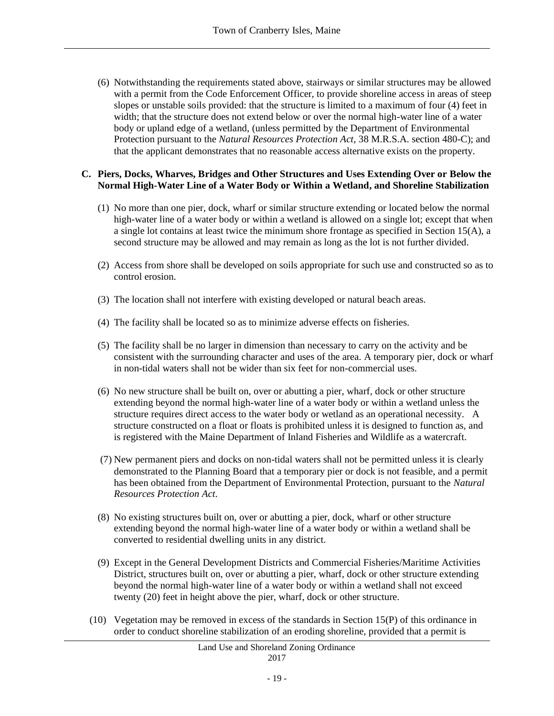(6) Notwithstanding the requirements stated above, stairways or similar structures may be allowed with a permit from the Code Enforcement Officer, to provide shoreline access in areas of steep slopes or unstable soils provided: that the structure is limited to a maximum of four (4) feet in width; that the structure does not extend below or over the normal high-water line of a water body or upland edge of a wetland, (unless permitted by the Department of Environmental Protection pursuant to the *Natural Resources Protection Act*, 38 M.R.S.A. section 480-C); and that the applicant demonstrates that no reasonable access alternative exists on the property.

#### **C. Piers, Docks, Wharves, Bridges and Other Structures and Uses Extending Over or Below the Normal High-Water Line of a Water Body or Within a Wetland, and Shoreline Stabilization**

- (1) No more than one pier, dock, wharf or similar structure extending or located below the normal high-water line of a water body or within a wetland is allowed on a single lot; except that when a single lot contains at least twice the minimum shore frontage as specified in Section 15(A), a second structure may be allowed and may remain as long as the lot is not further divided.
- (2) Access from shore shall be developed on soils appropriate for such use and constructed so as to control erosion.
- (3) The location shall not interfere with existing developed or natural beach areas.
- (4) The facility shall be located so as to minimize adverse effects on fisheries.
- (5) The facility shall be no larger in dimension than necessary to carry on the activity and be consistent with the surrounding character and uses of the area. A temporary pier, dock or wharf in non-tidal waters shall not be wider than six feet for non-commercial uses.
- (6) No new structure shall be built on, over or abutting a pier, wharf, dock or other structure extending beyond the normal high-water line of a water body or within a wetland unless the structure requires direct access to the water body or wetland as an operational necessity. A structure constructed on a float or floats is prohibited unless it is designed to function as, and is registered with the Maine Department of Inland Fisheries and Wildlife as a watercraft.
- (7) New permanent piers and docks on non-tidal waters shall not be permitted unless it is clearly demonstrated to the Planning Board that a temporary pier or dock is not feasible, and a permit has been obtained from the Department of Environmental Protection, pursuant to the *Natural Resources Protection Act*.
- (8) No existing structures built on, over or abutting a pier, dock, wharf or other structure extending beyond the normal high-water line of a water body or within a wetland shall be converted to residential dwelling units in any district.
- (9) Except in the General Development Districts and Commercial Fisheries/Maritime Activities District, structures built on, over or abutting a pier, wharf, dock or other structure extending beyond the normal high-water line of a water body or within a wetland shall not exceed twenty (20) feet in height above the pier, wharf, dock or other structure.
- (10) Vegetation may be removed in excess of the standards in Section 15(P) of this ordinance in order to conduct shoreline stabilization of an eroding shoreline, provided that a permit is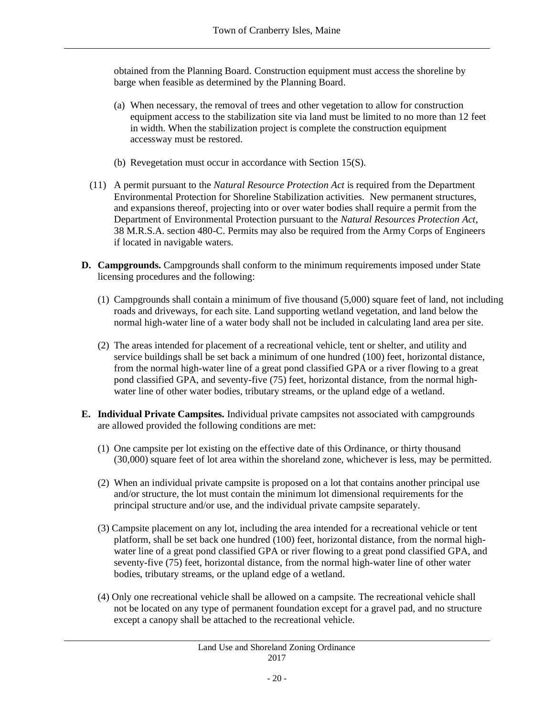obtained from the Planning Board. Construction equipment must access the shoreline by barge when feasible as determined by the Planning Board.

- (a) When necessary, the removal of trees and other vegetation to allow for construction equipment access to the stabilization site via land must be limited to no more than 12 feet in width. When the stabilization project is complete the construction equipment accessway must be restored.
- (b) Revegetation must occur in accordance with Section 15(S).
- (11) A permit pursuant to the *Natural Resource Protection Act* is required from the Department Environmental Protection for Shoreline Stabilization activities. New permanent structures, and expansions thereof, projecting into or over water bodies shall require a permit from the Department of Environmental Protection pursuant to the *Natural Resources Protection Act*, 38 M.R.S.A. section 480-C. Permits may also be required from the Army Corps of Engineers if located in navigable waters.
- **D. Campgrounds.** Campgrounds shall conform to the minimum requirements imposed under State licensing procedures and the following:
	- (1) Campgrounds shall contain a minimum of five thousand (5,000) square feet of land, not including roads and driveways, for each site. Land supporting wetland vegetation, and land below the normal high-water line of a water body shall not be included in calculating land area per site.
	- (2) The areas intended for placement of a recreational vehicle, tent or shelter, and utility and service buildings shall be set back a minimum of one hundred (100) feet, horizontal distance, from the normal high-water line of a great pond classified GPA or a river flowing to a great pond classified GPA, and seventy-five (75) feet, horizontal distance, from the normal highwater line of other water bodies, tributary streams, or the upland edge of a wetland.
- **E. Individual Private Campsites.** Individual private campsites not associated with campgrounds are allowed provided the following conditions are met:
	- (1) One campsite per lot existing on the effective date of this Ordinance, or thirty thousand (30,000) square feet of lot area within the shoreland zone, whichever is less, may be permitted.
	- (2) When an individual private campsite is proposed on a lot that contains another principal use and/or structure, the lot must contain the minimum lot dimensional requirements for the principal structure and/or use, and the individual private campsite separately.
	- (3) Campsite placement on any lot, including the area intended for a recreational vehicle or tent platform, shall be set back one hundred (100) feet, horizontal distance, from the normal highwater line of a great pond classified GPA or river flowing to a great pond classified GPA, and seventy-five (75) feet, horizontal distance, from the normal high-water line of other water bodies, tributary streams, or the upland edge of a wetland.
	- (4) Only one recreational vehicle shall be allowed on a campsite. The recreational vehicle shall not be located on any type of permanent foundation except for a gravel pad, and no structure except a canopy shall be attached to the recreational vehicle.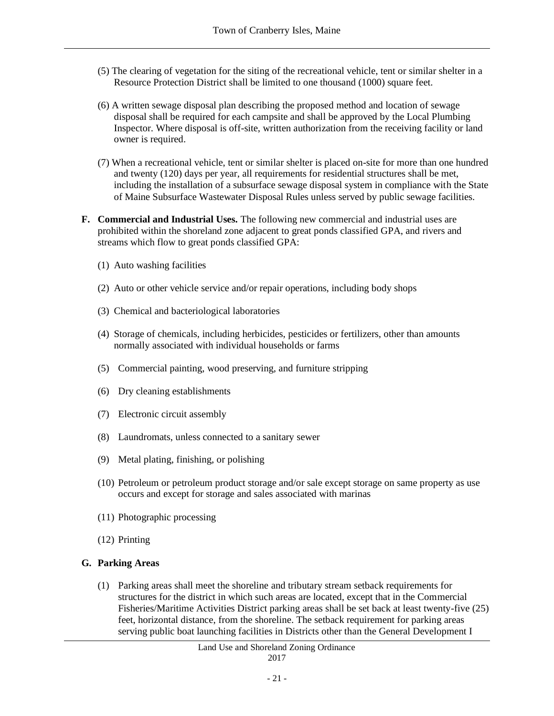- (5) The clearing of vegetation for the siting of the recreational vehicle, tent or similar shelter in a Resource Protection District shall be limited to one thousand (1000) square feet.
- (6) A written sewage disposal plan describing the proposed method and location of sewage disposal shall be required for each campsite and shall be approved by the Local Plumbing Inspector. Where disposal is off-site, written authorization from the receiving facility or land owner is required.
- (7) When a recreational vehicle, tent or similar shelter is placed on-site for more than one hundred and twenty (120) days per year, all requirements for residential structures shall be met, including the installation of a subsurface sewage disposal system in compliance with the State of Maine Subsurface Wastewater Disposal Rules unless served by public sewage facilities.
- **F. Commercial and Industrial Uses.** The following new commercial and industrial uses are prohibited within the shoreland zone adjacent to great ponds classified GPA, and rivers and streams which flow to great ponds classified GPA:
	- (1) Auto washing facilities
	- (2) Auto or other vehicle service and/or repair operations, including body shops
	- (3) Chemical and bacteriological laboratories
	- (4) Storage of chemicals, including herbicides, pesticides or fertilizers, other than amounts normally associated with individual households or farms
	- (5) Commercial painting, wood preserving, and furniture stripping
	- (6) Dry cleaning establishments
	- (7) Electronic circuit assembly
	- (8) Laundromats, unless connected to a sanitary sewer
	- (9) Metal plating, finishing, or polishing
	- (10) Petroleum or petroleum product storage and/or sale except storage on same property as use occurs and except for storage and sales associated with marinas
	- (11) Photographic processing
	- (12) Printing

## **G. Parking Areas**

(1) Parking areas shall meet the shoreline and tributary stream setback requirements for structures for the district in which such areas are located, except that in the Commercial Fisheries/Maritime Activities District parking areas shall be set back at least twenty-five (25) feet, horizontal distance, from the shoreline. The setback requirement for parking areas serving public boat launching facilities in Districts other than the General Development I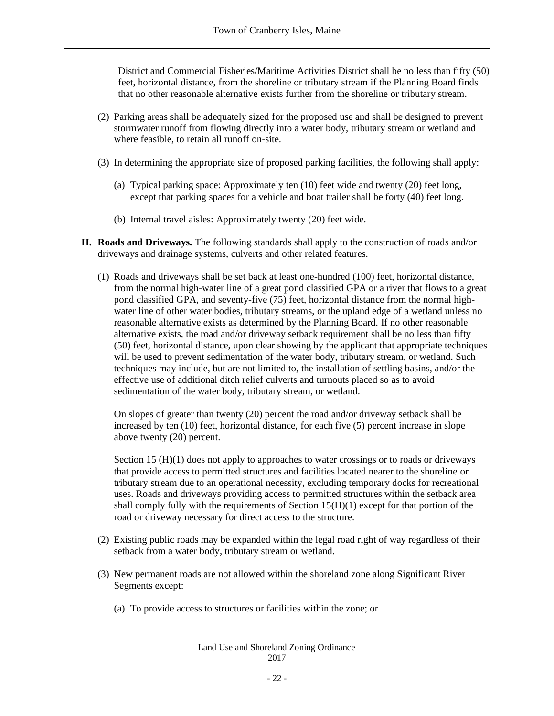District and Commercial Fisheries/Maritime Activities District shall be no less than fifty (50) feet, horizontal distance, from the shoreline or tributary stream if the Planning Board finds that no other reasonable alternative exists further from the shoreline or tributary stream.

- (2) Parking areas shall be adequately sized for the proposed use and shall be designed to prevent stormwater runoff from flowing directly into a water body, tributary stream or wetland and where feasible, to retain all runoff on-site.
- (3) In determining the appropriate size of proposed parking facilities, the following shall apply:
	- (a) Typical parking space: Approximately ten (10) feet wide and twenty (20) feet long, except that parking spaces for a vehicle and boat trailer shall be forty (40) feet long.
	- (b) Internal travel aisles: Approximately twenty (20) feet wide.
- **H. Roads and Driveways.** The following standards shall apply to the construction of roads and/or driveways and drainage systems, culverts and other related features.
	- (1) Roads and driveways shall be set back at least one-hundred (100) feet, horizontal distance, from the normal high-water line of a great pond classified GPA or a river that flows to a great pond classified GPA, and seventy-five (75) feet, horizontal distance from the normal highwater line of other water bodies, tributary streams, or the upland edge of a wetland unless no reasonable alternative exists as determined by the Planning Board. If no other reasonable alternative exists, the road and/or driveway setback requirement shall be no less than fifty (50) feet, horizontal distance, upon clear showing by the applicant that appropriate techniques will be used to prevent sedimentation of the water body, tributary stream, or wetland. Such techniques may include, but are not limited to, the installation of settling basins, and/or the effective use of additional ditch relief culverts and turnouts placed so as to avoid sedimentation of the water body, tributary stream, or wetland.

On slopes of greater than twenty (20) percent the road and/or driveway setback shall be increased by ten (10) feet, horizontal distance, for each five (5) percent increase in slope above twenty (20) percent.

Section 15 (H)(1) does not apply to approaches to water crossings or to roads or driveways that provide access to permitted structures and facilities located nearer to the shoreline or tributary stream due to an operational necessity, excluding temporary docks for recreational uses. Roads and driveways providing access to permitted structures within the setback area shall comply fully with the requirements of Section 15(H)(1) except for that portion of the road or driveway necessary for direct access to the structure.

- (2) Existing public roads may be expanded within the legal road right of way regardless of their setback from a water body, tributary stream or wetland.
- (3) New permanent roads are not allowed within the shoreland zone along Significant River Segments except:
	- (a) To provide access to structures or facilities within the zone; or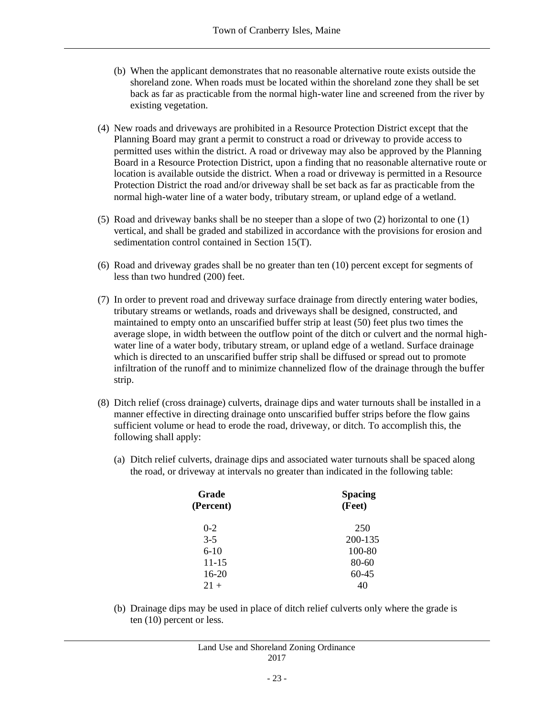- (b) When the applicant demonstrates that no reasonable alternative route exists outside the shoreland zone. When roads must be located within the shoreland zone they shall be set back as far as practicable from the normal high-water line and screened from the river by existing vegetation.
- (4) New roads and driveways are prohibited in a Resource Protection District except that the Planning Board may grant a permit to construct a road or driveway to provide access to permitted uses within the district. A road or driveway may also be approved by the Planning Board in a Resource Protection District, upon a finding that no reasonable alternative route or location is available outside the district. When a road or driveway is permitted in a Resource Protection District the road and/or driveway shall be set back as far as practicable from the normal high-water line of a water body, tributary stream, or upland edge of a wetland.
- (5) Road and driveway banks shall be no steeper than a slope of two (2) horizontal to one (1) vertical, and shall be graded and stabilized in accordance with the provisions for erosion and sedimentation control contained in Section 15(T).
- (6) Road and driveway grades shall be no greater than ten (10) percent except for segments of less than two hundred (200) feet.
- (7) In order to prevent road and driveway surface drainage from directly entering water bodies, tributary streams or wetlands, roads and driveways shall be designed, constructed, and maintained to empty onto an unscarified buffer strip at least (50) feet plus two times the average slope, in width between the outflow point of the ditch or culvert and the normal highwater line of a water body, tributary stream, or upland edge of a wetland. Surface drainage which is directed to an unscarified buffer strip shall be diffused or spread out to promote infiltration of the runoff and to minimize channelized flow of the drainage through the buffer strip.
- (8) Ditch relief (cross drainage) culverts, drainage dips and water turnouts shall be installed in a manner effective in directing drainage onto unscarified buffer strips before the flow gains sufficient volume or head to erode the road, driveway, or ditch. To accomplish this, the following shall apply:
	- (a) Ditch relief culverts, drainage dips and associated water turnouts shall be spaced along the road, or driveway at intervals no greater than indicated in the following table:

| <b>Spacing</b><br>(Feet) |  |  |
|--------------------------|--|--|
| 250                      |  |  |
| 200-135                  |  |  |
| 100-80                   |  |  |
| $80 - 60$                |  |  |
| $60 - 45$                |  |  |
| 40                       |  |  |
|                          |  |  |

(b) Drainage dips may be used in place of ditch relief culverts only where the grade is ten (10) percent or less.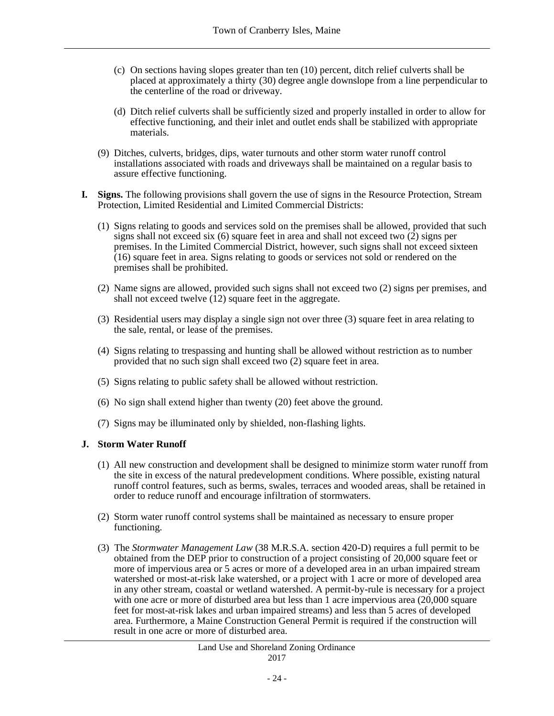- (c) On sections having slopes greater than ten (10) percent, ditch relief culverts shall be placed at approximately a thirty (30) degree angle downslope from a line perpendicular to the centerline of the road or driveway.
- (d) Ditch relief culverts shall be sufficiently sized and properly installed in order to allow for effective functioning, and their inlet and outlet ends shall be stabilized with appropriate materials.
- (9) Ditches, culverts, bridges, dips, water turnouts and other storm water runoff control installations associated with roads and driveways shall be maintained on a regular basis to assure effective functioning.
- **I. Signs.** The following provisions shall govern the use of signs in the Resource Protection, Stream Protection, Limited Residential and Limited Commercial Districts:
	- (1) Signs relating to goods and services sold on the premises shall be allowed, provided that such signs shall not exceed six  $(6)$  square feet in area and shall not exceed two  $(2)$  signs per premises. In the Limited Commercial District, however, such signs shall not exceed sixteen (16) square feet in area. Signs relating to goods or services not sold or rendered on the premises shall be prohibited.
	- (2) Name signs are allowed, provided such signs shall not exceed two (2) signs per premises, and shall not exceed twelve (12) square feet in the aggregate.
	- (3) Residential users may display a single sign not over three (3) square feet in area relating to the sale, rental, or lease of the premises.
	- (4) Signs relating to trespassing and hunting shall be allowed without restriction as to number provided that no such sign shall exceed two (2) square feet in area.
	- (5) Signs relating to public safety shall be allowed without restriction.
	- (6) No sign shall extend higher than twenty (20) feet above the ground.
	- (7) Signs may be illuminated only by shielded, non-flashing lights.

#### **J. Storm Water Runoff**

- (1) All new construction and development shall be designed to minimize storm water runoff from the site in excess of the natural predevelopment conditions. Where possible, existing natural runoff control features, such as berms, swales, terraces and wooded areas, shall be retained in order to reduce runoff and encourage infiltration of stormwaters.
- (2) Storm water runoff control systems shall be maintained as necessary to ensure proper functioning.
- (3) The *Stormwater Management Law* (38 M.R.S.A. section 420-D) requires a full permit to be obtained from the DEP prior to construction of a project consisting of 20,000 square feet or more of impervious area or 5 acres or more of a developed area in an urban impaired stream watershed or most-at-risk lake watershed, or a project with 1 acre or more of developed area in any other stream, coastal or wetland watershed. A permit-by-rule is necessary for a project with one acre or more of disturbed area but less than  $\overline{1}$  acre impervious area (20,000 square feet for most-at-risk lakes and urban impaired streams) and less than 5 acres of developed area. Furthermore, a Maine Construction General Permit is required if the construction will result in one acre or more of disturbed area.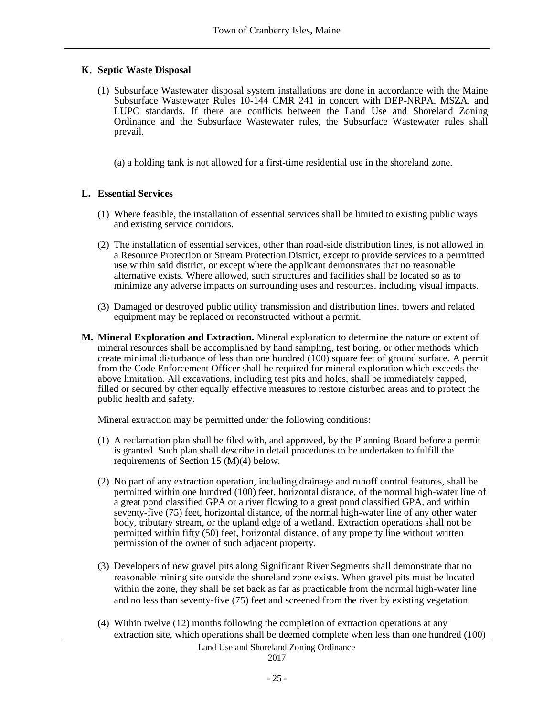## **K. Septic Waste Disposal**

(1) Subsurface Wastewater disposal system installations are done in accordance with the Maine Subsurface Wastewater Rules 10-144 CMR 241 in concert with DEP-NRPA, MSZA, and LUPC standards. If there are conflicts between the Land Use and Shoreland Zoning Ordinance and the Subsurface Wastewater rules, the Subsurface Wastewater rules shall prevail.

(a) a holding tank is not allowed for a first-time residential use in the shoreland zone.

### **L. Essential Services**

- (1) Where feasible, the installation of essential services shall be limited to existing public ways and existing service corridors.
- (2) The installation of essential services, other than road-side distribution lines, is not allowed in a Resource Protection or Stream Protection District, except to provide services to a permitted use within said district, or except where the applicant demonstrates that no reasonable alternative exists. Where allowed, such structures and facilities shall be located so as to minimize any adverse impacts on surrounding uses and resources, including visual impacts.
- (3) Damaged or destroyed public utility transmission and distribution lines, towers and related equipment may be replaced or reconstructed without a permit.
- **M. Mineral Exploration and Extraction.** Mineral exploration to determine the nature or extent of mineral resources shall be accomplished by hand sampling, test boring, or other methods which create minimal disturbance of less than one hundred  $(100)$  square feet of ground surface. A permit from the Code Enforcement Officer shall be required for mineral exploration which exceeds the above limitation. All excavations, including test pits and holes, shall be immediately capped, filled or secured by other equally effective measures to restore disturbed areas and to protect the public health and safety.

Mineral extraction may be permitted under the following conditions:

- (1) A reclamation plan shall be filed with, and approved, by the Planning Board before a permit is granted. Such plan shall describe in detail procedures to be undertaken to fulfill the requirements of Section 15 (M)(4) below.
- (2) No part of any extraction operation, including drainage and runoff control features, shall be permitted within one hundred (100) feet, horizontal distance, of the normal high-water line of a great pond classified GPA or a river flowing to a great pond classified GPA, and within seventy-five (75) feet, horizontal distance, of the normal high-water line of any other water body, tributary stream, or the upland edge of a wetland. Extraction operations shall not be permitted within fifty (50) feet, horizontal distance, of any property line without written permission of the owner of such adjacent property.
- (3) Developers of new gravel pits along Significant River Segments shall demonstrate that no reasonable mining site outside the shoreland zone exists. When gravel pits must be located within the zone, they shall be set back as far as practicable from the normal high-water line and no less than seventy-five (75) feet and screened from the river by existing vegetation.
- (4) Within twelve (12) months following the completion of extraction operations at any extraction site, which operations shall be deemed complete when less than one hundred (100)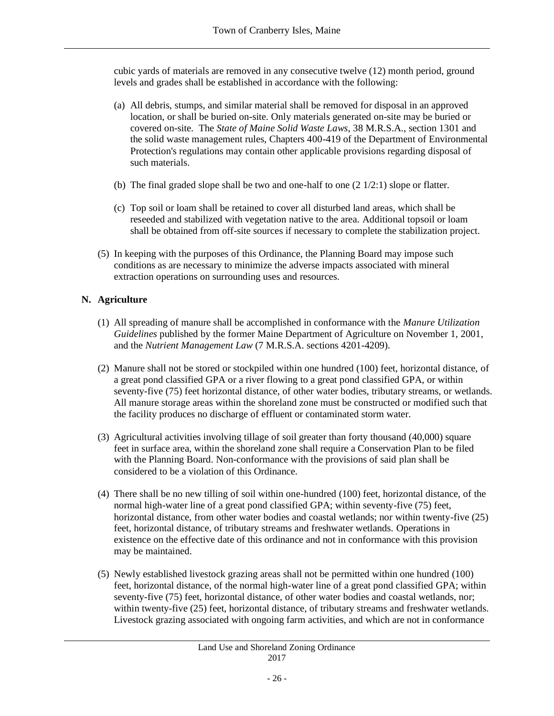cubic yards of materials are removed in any consecutive twelve (12) month period, ground levels and grades shall be established in accordance with the following:

- (a) All debris, stumps, and similar material shall be removed for disposal in an approved location, or shall be buried on-site. Only materials generated on-site may be buried or covered on-site. The *State of Maine Solid Waste Laws*, 38 M.R.S.A., section 1301 and the solid waste management rules, Chapters 400-419 of the Department of Environmental Protection's regulations may contain other applicable provisions regarding disposal of such materials.
- (b) The final graded slope shall be two and one-half to one  $(2 \frac{1}{2:1})$  slope or flatter.
- (c) Top soil or loam shall be retained to cover all disturbed land areas, which shall be reseeded and stabilized with vegetation native to the area. Additional topsoil or loam shall be obtained from off-site sources if necessary to complete the stabilization project.
- (5) In keeping with the purposes of this Ordinance, the Planning Board may impose such conditions as are necessary to minimize the adverse impacts associated with mineral extraction operations on surrounding uses and resources.

## **N. Agriculture**

- (1) All spreading of manure shall be accomplished in conformance with the *Manure Utilization Guidelines* published by the former Maine Department of Agriculture on November 1, 2001, and the *Nutrient Management Law* (7 M.R.S.A. sections 4201-4209).
- (2) Manure shall not be stored or stockpiled within one hundred (100) feet, horizontal distance, of a great pond classified GPA or a river flowing to a great pond classified GPA, or within seventy-five (75) feet horizontal distance, of other water bodies, tributary streams, or wetlands. All manure storage areas within the shoreland zone must be constructed or modified such that the facility produces no discharge of effluent or contaminated storm water.
- (3) Agricultural activities involving tillage of soil greater than forty thousand (40,000) square feet in surface area, within the shoreland zone shall require a Conservation Plan to be filed with the Planning Board. Non-conformance with the provisions of said plan shall be considered to be a violation of this Ordinance.
- (4) There shall be no new tilling of soil within one-hundred (100) feet, horizontal distance, of the normal high-water line of a great pond classified GPA; within seventy-five (75) feet, horizontal distance, from other water bodies and coastal wetlands; nor within twenty-five (25) feet, horizontal distance, of tributary streams and freshwater wetlands. Operations in existence on the effective date of this ordinance and not in conformance with this provision may be maintained.
- (5) Newly established livestock grazing areas shall not be permitted within one hundred (100) feet, horizontal distance, of the normal high-water line of a great pond classified GPA; within seventy-five (75) feet, horizontal distance, of other water bodies and coastal wetlands, nor; within twenty-five (25) feet, horizontal distance, of tributary streams and freshwater wetlands. Livestock grazing associated with ongoing farm activities, and which are not in conformance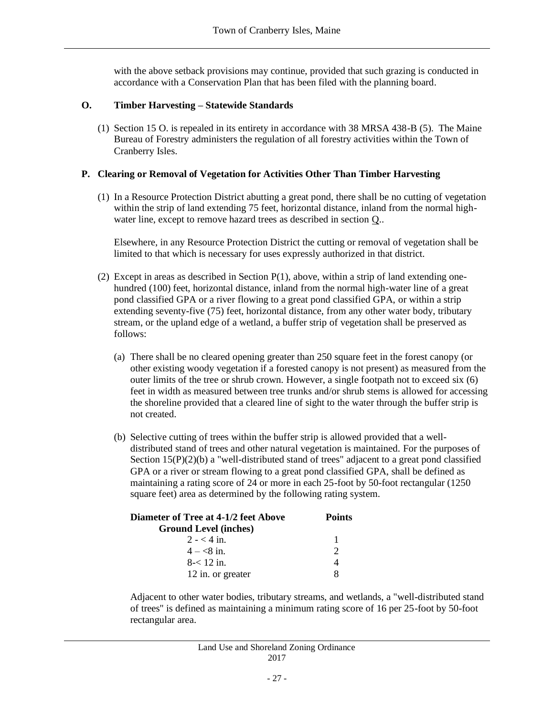with the above setback provisions may continue, provided that such grazing is conducted in accordance with a Conservation Plan that has been filed with the planning board.

## **O. Timber Harvesting – Statewide Standards**

(1) Section 15 O. is repealed in its entirety in accordance with 38 MRSA 438-B (5). The Maine Bureau of Forestry administers the regulation of all forestry activities within the Town of Cranberry Isles.

### **P. Clearing or Removal of Vegetation for Activities Other Than Timber Harvesting**

(1) In a Resource Protection District abutting a great pond, there shall be no cutting of vegetation within the strip of land extending 75 feet, horizontal distance, inland from the normal highwater line, except to remove hazard trees as described in section Q..

Elsewhere, in any Resource Protection District the cutting or removal of vegetation shall be limited to that which is necessary for uses expressly authorized in that district.

- (2) Except in areas as described in Section  $P(1)$ , above, within a strip of land extending onehundred (100) feet, horizontal distance, inland from the normal high-water line of a great pond classified GPA or a river flowing to a great pond classified GPA, or within a strip extending seventy-five (75) feet, horizontal distance, from any other water body, tributary stream, or the upland edge of a wetland, a buffer strip of vegetation shall be preserved as follows:
	- (a) There shall be no cleared opening greater than 250 square feet in the forest canopy (or other existing woody vegetation if a forested canopy is not present) as measured from the outer limits of the tree or shrub crown. However, a single footpath not to exceed six (6) feet in width as measured between tree trunks and/or shrub stems is allowed for accessing the shoreline provided that a cleared line of sight to the water through the buffer strip is not created.
	- (b) Selective cutting of trees within the buffer strip is allowed provided that a welldistributed stand of trees and other natural vegetation is maintained. For the purposes of Section 15(P)(2)(b) a "well-distributed stand of trees" adjacent to a great pond classified GPA or a river or stream flowing to a great pond classified GPA, shall be defined as maintaining a rating score of 24 or more in each 25-foot by 50-foot rectangular (1250 square feet) area as determined by the following rating system.

| <b>Diameter of Tree at 4-1/2 feet Above</b> | <b>Points</b> |  |
|---------------------------------------------|---------------|--|
| <b>Ground Level (inches)</b>                |               |  |
| $2 - 4$ in.                                 |               |  |
| $4 - 8i$ in.                                |               |  |
| $8 - 12$ in.                                |               |  |
| 12 in. or greater                           |               |  |

Adjacent to other water bodies, tributary streams, and wetlands, a "well-distributed stand of trees" is defined as maintaining a minimum rating score of 16 per 25-foot by 50-foot rectangular area.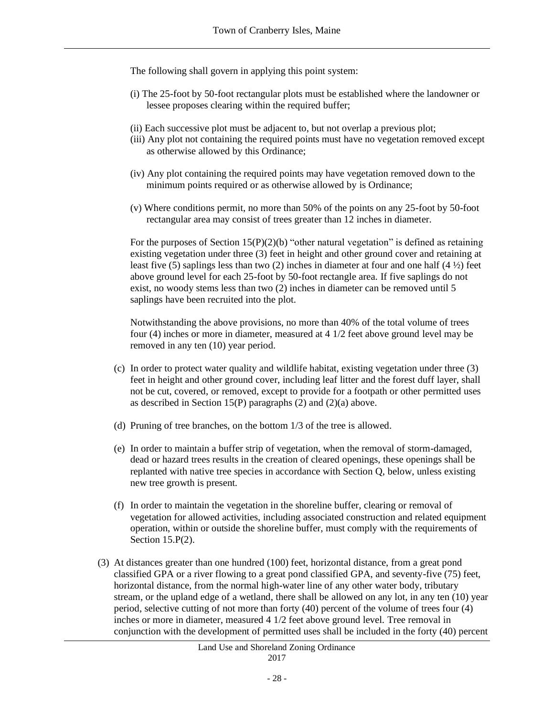The following shall govern in applying this point system:

- (i) The 25-foot by 50-foot rectangular plots must be established where the landowner or lessee proposes clearing within the required buffer;
- (ii) Each successive plot must be adjacent to, but not overlap a previous plot;
- (iii) Any plot not containing the required points must have no vegetation removed except as otherwise allowed by this Ordinance;
- (iv) Any plot containing the required points may have vegetation removed down to the minimum points required or as otherwise allowed by is Ordinance;
- (v) Where conditions permit, no more than 50% of the points on any 25-foot by 50-foot rectangular area may consist of trees greater than 12 inches in diameter.

For the purposes of Section  $15(P)(2)(b)$  "other natural vegetation" is defined as retaining existing vegetation under three (3) feet in height and other ground cover and retaining at least five (5) saplings less than two (2) inches in diameter at four and one half (4 ½) feet above ground level for each 25-foot by 50-foot rectangle area. If five saplings do not exist, no woody stems less than two (2) inches in diameter can be removed until 5 saplings have been recruited into the plot.

Notwithstanding the above provisions, no more than 40% of the total volume of trees four (4) inches or more in diameter, measured at 4 1/2 feet above ground level may be removed in any ten (10) year period.

- (c) In order to protect water quality and wildlife habitat, existing vegetation under three (3) feet in height and other ground cover, including leaf litter and the forest duff layer, shall not be cut, covered, or removed, except to provide for a footpath or other permitted uses as described in Section 15(P) paragraphs (2) and (2)(a) above.
- (d) Pruning of tree branches, on the bottom 1/3 of the tree is allowed.
- (e) In order to maintain a buffer strip of vegetation, when the removal of storm-damaged, dead or hazard trees results in the creation of cleared openings, these openings shall be replanted with native tree species in accordance with Section Q, below, unless existing new tree growth is present.
- (f) In order to maintain the vegetation in the shoreline buffer, clearing or removal of vegetation for allowed activities, including associated construction and related equipment operation, within or outside the shoreline buffer, must comply with the requirements of Section 15.P(2).
- (3) At distances greater than one hundred (100) feet, horizontal distance, from a great pond classified GPA or a river flowing to a great pond classified GPA, and seventy-five (75) feet, horizontal distance, from the normal high-water line of any other water body, tributary stream, or the upland edge of a wetland, there shall be allowed on any lot, in any ten (10) year period, selective cutting of not more than forty (40) percent of the volume of trees four (4) inches or more in diameter, measured 4 1/2 feet above ground level. Tree removal in conjunction with the development of permitted uses shall be included in the forty (40) percent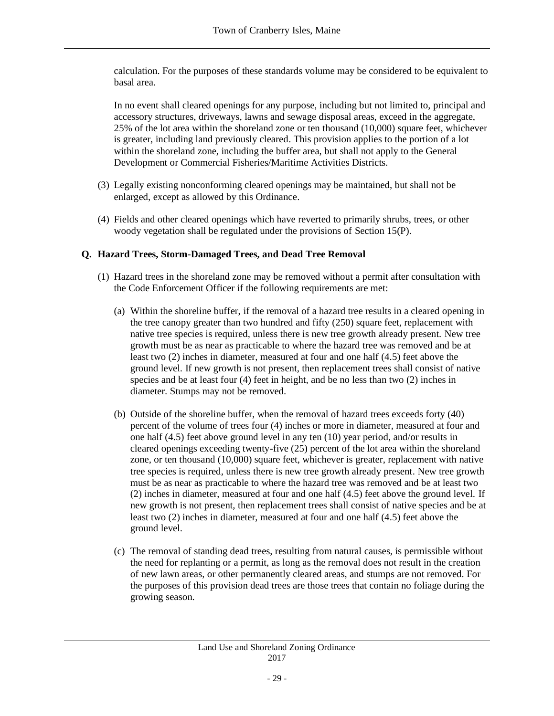calculation. For the purposes of these standards volume may be considered to be equivalent to basal area.

In no event shall cleared openings for any purpose, including but not limited to, principal and accessory structures, driveways, lawns and sewage disposal areas, exceed in the aggregate, 25% of the lot area within the shoreland zone or ten thousand (10,000) square feet, whichever is greater, including land previously cleared. This provision applies to the portion of a lot within the shoreland zone, including the buffer area, but shall not apply to the General Development or Commercial Fisheries/Maritime Activities Districts.

- (3) Legally existing nonconforming cleared openings may be maintained, but shall not be enlarged, except as allowed by this Ordinance.
- (4) Fields and other cleared openings which have reverted to primarily shrubs, trees, or other woody vegetation shall be regulated under the provisions of Section 15(P).

### **Q. Hazard Trees, Storm-Damaged Trees, and Dead Tree Removal**

- (1) Hazard trees in the shoreland zone may be removed without a permit after consultation with the Code Enforcement Officer if the following requirements are met:
	- (a) Within the shoreline buffer, if the removal of a hazard tree results in a cleared opening in the tree canopy greater than two hundred and fifty (250) square feet, replacement with native tree species is required, unless there is new tree growth already present. New tree growth must be as near as practicable to where the hazard tree was removed and be at least two (2) inches in diameter, measured at four and one half (4.5) feet above the ground level. If new growth is not present, then replacement trees shall consist of native species and be at least four (4) feet in height, and be no less than two (2) inches in diameter. Stumps may not be removed.
	- (b) Outside of the shoreline buffer, when the removal of hazard trees exceeds forty (40) percent of the volume of trees four (4) inches or more in diameter, measured at four and one half (4.5) feet above ground level in any ten (10) year period, and/or results in cleared openings exceeding twenty-five (25) percent of the lot area within the shoreland zone, or ten thousand (10,000) square feet, whichever is greater, replacement with native tree species is required, unless there is new tree growth already present. New tree growth must be as near as practicable to where the hazard tree was removed and be at least two (2) inches in diameter, measured at four and one half (4.5) feet above the ground level. If new growth is not present, then replacement trees shall consist of native species and be at least two (2) inches in diameter, measured at four and one half (4.5) feet above the ground level.
	- (c) The removal of standing dead trees, resulting from natural causes, is permissible without the need for replanting or a permit, as long as the removal does not result in the creation of new lawn areas, or other permanently cleared areas, and stumps are not removed. For the purposes of this provision dead trees are those trees that contain no foliage during the growing season.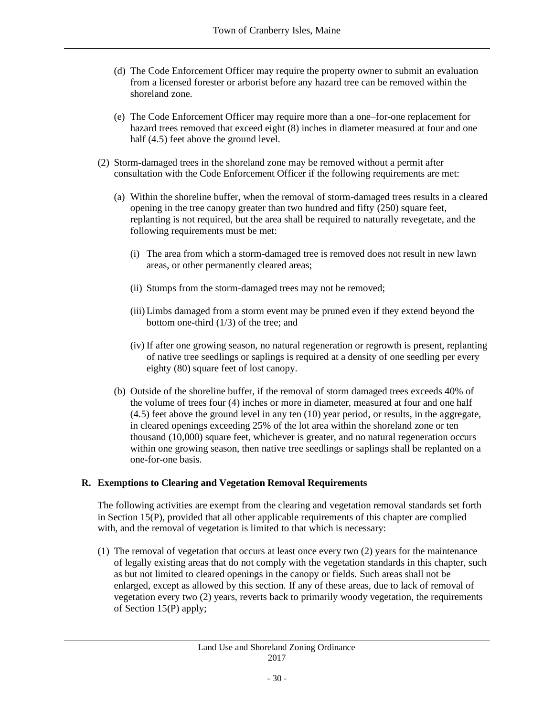- (d) The Code Enforcement Officer may require the property owner to submit an evaluation from a licensed forester or arborist before any hazard tree can be removed within the shoreland zone.
- (e) The Code Enforcement Officer may require more than a one–for-one replacement for hazard trees removed that exceed eight (8) inches in diameter measured at four and one half (4.5) feet above the ground level.
- (2) Storm-damaged trees in the shoreland zone may be removed without a permit after consultation with the Code Enforcement Officer if the following requirements are met:
	- (a) Within the shoreline buffer, when the removal of storm-damaged trees results in a cleared opening in the tree canopy greater than two hundred and fifty (250) square feet, replanting is not required, but the area shall be required to naturally revegetate, and the following requirements must be met:
		- (i) The area from which a storm-damaged tree is removed does not result in new lawn areas, or other permanently cleared areas;
		- (ii) Stumps from the storm-damaged trees may not be removed;
		- (iii) Limbs damaged from a storm event may be pruned even if they extend beyond the bottom one-third (1/3) of the tree; and
		- (iv) If after one growing season, no natural regeneration or regrowth is present, replanting of native tree seedlings or saplings is required at a density of one seedling per every eighty (80) square feet of lost canopy.
	- (b) Outside of the shoreline buffer, if the removal of storm damaged trees exceeds 40% of the volume of trees four (4) inches or more in diameter, measured at four and one half (4.5) feet above the ground level in any ten (10) year period, or results, in the aggregate, in cleared openings exceeding 25% of the lot area within the shoreland zone or ten thousand (10,000) square feet, whichever is greater, and no natural regeneration occurs within one growing season, then native tree seedlings or saplings shall be replanted on a one-for-one basis.

## **R. Exemptions to Clearing and Vegetation Removal Requirements**

The following activities are exempt from the clearing and vegetation removal standards set forth in Section 15(P), provided that all other applicable requirements of this chapter are complied with, and the removal of vegetation is limited to that which is necessary:

(1) The removal of vegetation that occurs at least once every two (2) years for the maintenance of legally existing areas that do not comply with the vegetation standards in this chapter, such as but not limited to cleared openings in the canopy or fields. Such areas shall not be enlarged, except as allowed by this section. If any of these areas, due to lack of removal of vegetation every two (2) years, reverts back to primarily woody vegetation, the requirements of Section 15(P) apply;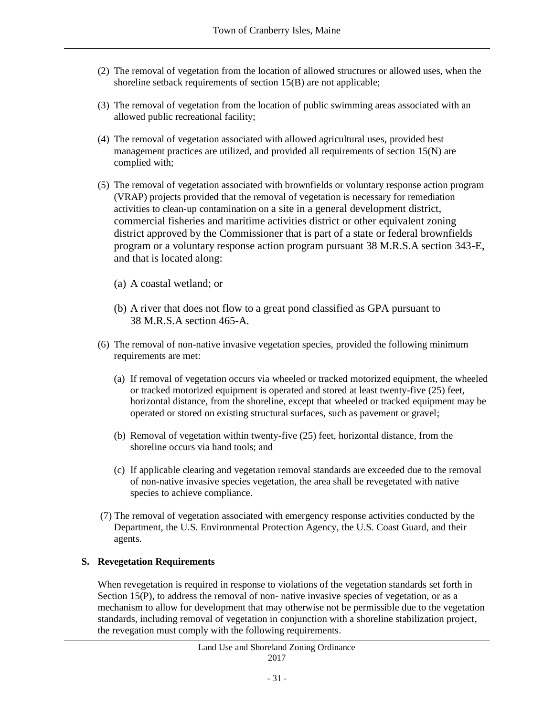- (2) The removal of vegetation from the location of allowed structures or allowed uses, when the shoreline setback requirements of section 15(B) are not applicable;
- (3) The removal of vegetation from the location of public swimming areas associated with an allowed public recreational facility;
- (4) The removal of vegetation associated with allowed agricultural uses, provided best management practices are utilized, and provided all requirements of section 15(N) are complied with;
- (5) The removal of vegetation associated with brownfields or voluntary response action program (VRAP) projects provided that the removal of vegetation is necessary for remediation activities to clean-up contamination on a site in a general development district, commercial fisheries and maritime activities district or other equivalent zoning district approved by the Commissioner that is part of a state or federal brownfields program or a voluntary response action program pursuant 38 M.R.S.A section 343-E, and that is located along:
	- (a) A coastal wetland; or
	- (b) A river that does not flow to a great pond classified as GPA pursuant to 38 M.R.S.A section 465-A.
- (6) The removal of non-native invasive vegetation species, provided the following minimum requirements are met:
	- (a) If removal of vegetation occurs via wheeled or tracked motorized equipment, the wheeled or tracked motorized equipment is operated and stored at least twenty-five (25) feet, horizontal distance, from the shoreline, except that wheeled or tracked equipment may be operated or stored on existing structural surfaces, such as pavement or gravel;
	- (b) Removal of vegetation within twenty-five (25) feet, horizontal distance, from the shoreline occurs via hand tools; and
	- (c) If applicable clearing and vegetation removal standards are exceeded due to the removal of non-native invasive species vegetation, the area shall be revegetated with native species to achieve compliance.
- (7) The removal of vegetation associated with emergency response activities conducted by the Department, the U.S. Environmental Protection Agency, the U.S. Coast Guard, and their agents.

# **S. Revegetation Requirements**

When revegetation is required in response to violations of the vegetation standards set forth in Section 15(P), to address the removal of non- native invasive species of vegetation, or as a mechanism to allow for development that may otherwise not be permissible due to the vegetation standards, including removal of vegetation in conjunction with a shoreline stabilization project, the revegation must comply with the following requirements.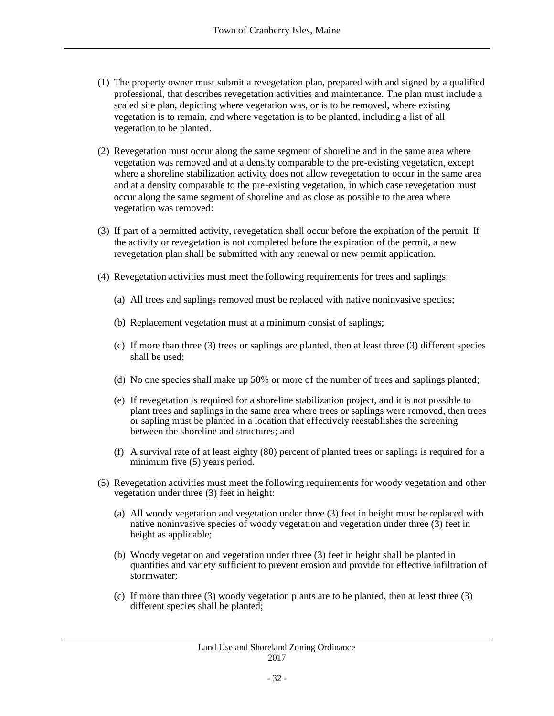- (1) The property owner must submit a revegetation plan, prepared with and signed by a qualified professional, that describes revegetation activities and maintenance. The plan must include a scaled site plan, depicting where vegetation was, or is to be removed, where existing vegetation is to remain, and where vegetation is to be planted, including a list of all vegetation to be planted.
- (2) Revegetation must occur along the same segment of shoreline and in the same area where vegetation was removed and at a density comparable to the pre-existing vegetation, except where a shoreline stabilization activity does not allow revegetation to occur in the same area and at a density comparable to the pre-existing vegetation, in which case revegetation must occur along the same segment of shoreline and as close as possible to the area where vegetation was removed:
- (3) If part of a permitted activity, revegetation shall occur before the expiration of the permit. If the activity or revegetation is not completed before the expiration of the permit, a new revegetation plan shall be submitted with any renewal or new permit application.
- (4) Revegetation activities must meet the following requirements for trees and saplings:
	- (a) All trees and saplings removed must be replaced with native noninvasive species;
	- (b) Replacement vegetation must at a minimum consist of saplings;
	- (c) If more than three (3) trees or saplings are planted, then at least three (3) different species shall be used;
	- (d) No one species shall make up 50% or more of the number of trees and saplings planted;
	- (e) If revegetation is required for a shoreline stabilization project, and it is not possible to plant trees and saplings in the same area where trees or saplings were removed, then trees or sapling must be planted in a location that effectively reestablishes the screening between the shoreline and structures; and
	- (f) A survival rate of at least eighty (80) percent of planted trees or saplings is required for a minimum five (5) years period.
- (5) Revegetation activities must meet the following requirements for woody vegetation and other vegetation under three (3) feet in height:
	- (a) All woody vegetation and vegetation under three (3) feet in height must be replaced with native noninvasive species of woody vegetation and vegetation under three (3) feet in height as applicable;
	- (b) Woody vegetation and vegetation under three (3) feet in height shall be planted in quantities and variety sufficient to prevent erosion and provide for effective infiltration of stormwater;
	- (c) If more than three (3) woody vegetation plants are to be planted, then at least three (3) different species shall be planted;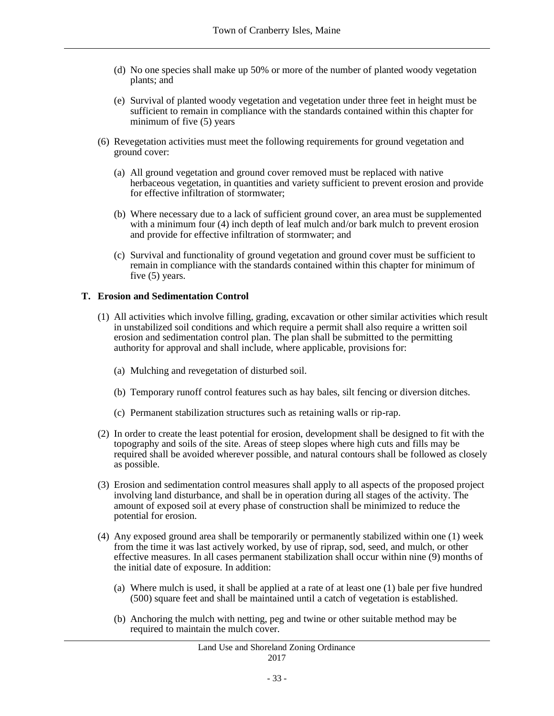- (d) No one species shall make up 50% or more of the number of planted woody vegetation plants; and
- (e) Survival of planted woody vegetation and vegetation under three feet in height must be sufficient to remain in compliance with the standards contained within this chapter for minimum of five (5) years
- (6) Revegetation activities must meet the following requirements for ground vegetation and ground cover:
	- (a) All ground vegetation and ground cover removed must be replaced with native herbaceous vegetation, in quantities and variety sufficient to prevent erosion and provide for effective infiltration of stormwater;
	- (b) Where necessary due to a lack of sufficient ground cover, an area must be supplemented with a minimum four (4) inch depth of leaf mulch and/or bark mulch to prevent erosion and provide for effective infiltration of stormwater; and
	- (c) Survival and functionality of ground vegetation and ground cover must be sufficient to remain in compliance with the standards contained within this chapter for minimum of five (5) years.

### **T. Erosion and Sedimentation Control**

- (1) All activities which involve filling, grading, excavation or other similar activities which result in unstabilized soil conditions and which require a permit shall also require a written soil erosion and sedimentation control plan. The plan shall be submitted to the permitting authority for approval and shall include, where applicable, provisions for:
	- (a) Mulching and revegetation of disturbed soil.
	- (b) Temporary runoff control features such as hay bales, silt fencing or diversion ditches.
	- (c) Permanent stabilization structures such as retaining walls or rip-rap.
- (2) In order to create the least potential for erosion, development shall be designed to fit with the topography and soils of the site. Areas of steep slopes where high cuts and fills may be required shall be avoided wherever possible, and natural contours shall be followed as closely as possible.
- (3) Erosion and sedimentation control measures shall apply to all aspects of the proposed project involving land disturbance, and shall be in operation during all stages of the activity. The amount of exposed soil at every phase of construction shall be minimized to reduce the potential for erosion.
- (4) Any exposed ground area shall be temporarily or permanently stabilized within one (1) week from the time it was last actively worked, by use of riprap, sod, seed, and mulch, or other effective measures. In all cases permanent stabilization shall occur within nine (9) months of the initial date of exposure. In addition:
	- (a) Where mulch is used, it shall be applied at a rate of at least one (1) bale per five hundred (500) square feet and shall be maintained until a catch of vegetation is established.
	- (b) Anchoring the mulch with netting, peg and twine or other suitable method may be required to maintain the mulch cover.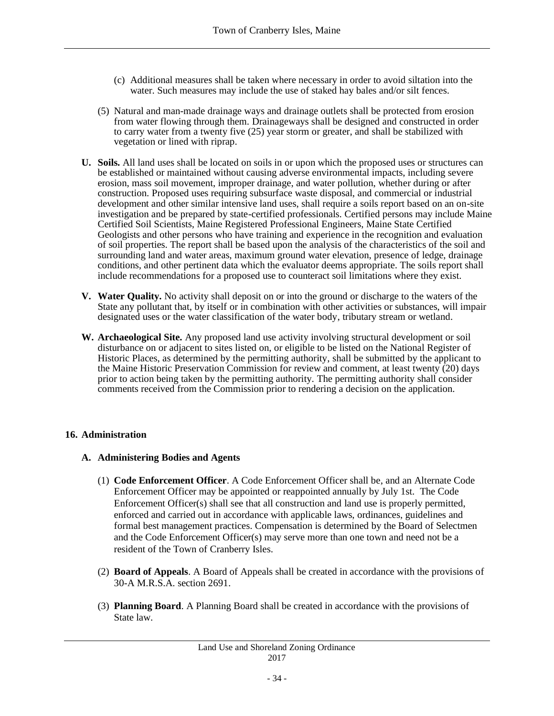- (c) Additional measures shall be taken where necessary in order to avoid siltation into the water. Such measures may include the use of staked hay bales and/or silt fences.
- (5) Natural and man-made drainage ways and drainage outlets shall be protected from erosion from water flowing through them. Drainageways shall be designed and constructed in order to carry water from a twenty five (25) year storm or greater, and shall be stabilized with vegetation or lined with riprap.
- **U. Soils.** All land uses shall be located on soils in or upon which the proposed uses or structures can be established or maintained without causing adverse environmental impacts, including severe erosion, mass soil movement, improper drainage, and water pollution, whether during or after construction. Proposed uses requiring subsurface waste disposal, and commercial or industrial development and other similar intensive land uses, shall require a soils report based on an on-site investigation and be prepared by state-certified professionals. Certified persons may include Maine Certified Soil Scientists, Maine Registered Professional Engineers, Maine State Certified Geologists and other persons who have training and experience in the recognition and evaluation of soil properties. The report shall be based upon the analysis of the characteristics of the soil and surrounding land and water areas, maximum ground water elevation, presence of ledge, drainage conditions, and other pertinent data which the evaluator deems appropriate. The soils report shall include recommendations for a proposed use to counteract soil limitations where they exist.
- **V. Water Quality.** No activity shall deposit on or into the ground or discharge to the waters of the State any pollutant that, by itself or in combination with other activities or substances, will impair designated uses or the water classification of the water body, tributary stream or wetland.
- **W. Archaeological Site.** Any proposed land use activity involving structural development or soil disturbance on or adjacent to sites listed on, or eligible to be listed on the National Register of Historic Places, as determined by the permitting authority, shall be submitted by the applicant to the Maine Historic Preservation Commission for review and comment, at least twenty (20) days prior to action being taken by the permitting authority. The permitting authority shall consider comments received from the Commission prior to rendering a decision on the application.

## **16. Administration**

## **A. Administering Bodies and Agents**

- (1) **Code Enforcement Officer**. A Code Enforcement Officer shall be, and an Alternate Code Enforcement Officer may be appointed or reappointed annually by July 1st. The Code Enforcement Officer(s) shall see that all construction and land use is properly permitted, enforced and carried out in accordance with applicable laws, ordinances, guidelines and formal best management practices. Compensation is determined by the Board of Selectmen and the Code Enforcement Officer(s) may serve more than one town and need not be a resident of the Town of Cranberry Isles.
- (2) **Board of Appeals**. A Board of Appeals shall be created in accordance with the provisions of 30-A M.R.S.A. section 2691.
- (3) **Planning Board**. A Planning Board shall be created in accordance with the provisions of State law.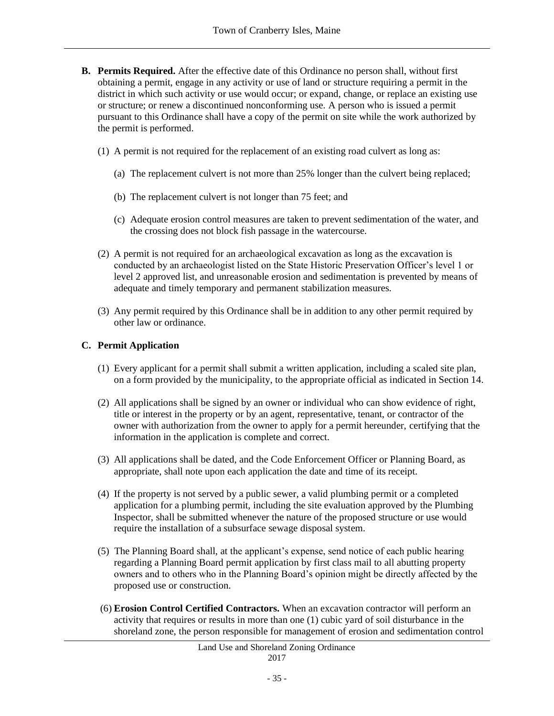- **B. Permits Required.** After the effective date of this Ordinance no person shall, without first obtaining a permit, engage in any activity or use of land or structure requiring a permit in the district in which such activity or use would occur; or expand, change, or replace an existing use or structure; or renew a discontinued nonconforming use. A person who is issued a permit pursuant to this Ordinance shall have a copy of the permit on site while the work authorized by the permit is performed.
	- (1) A permit is not required for the replacement of an existing road culvert as long as:
		- (a) The replacement culvert is not more than 25% longer than the culvert being replaced;
		- (b) The replacement culvert is not longer than 75 feet; and
		- (c) Adequate erosion control measures are taken to prevent sedimentation of the water, and the crossing does not block fish passage in the watercourse.
	- (2) A permit is not required for an archaeological excavation as long as the excavation is conducted by an archaeologist listed on the State Historic Preservation Officer's level 1 or level 2 approved list, and unreasonable erosion and sedimentation is prevented by means of adequate and timely temporary and permanent stabilization measures.
	- (3) Any permit required by this Ordinance shall be in addition to any other permit required by other law or ordinance.

## **C. Permit Application**

- (1) Every applicant for a permit shall submit a written application, including a scaled site plan, on a form provided by the municipality, to the appropriate official as indicated in Section 14.
- (2) All applications shall be signed by an owner or individual who can show evidence of right, title or interest in the property or by an agent, representative, tenant, or contractor of the owner with authorization from the owner to apply for a permit hereunder, certifying that the information in the application is complete and correct.
- (3) All applications shall be dated, and the Code Enforcement Officer or Planning Board, as appropriate, shall note upon each application the date and time of its receipt.
- (4) If the property is not served by a public sewer, a valid plumbing permit or a completed application for a plumbing permit, including the site evaluation approved by the Plumbing Inspector, shall be submitted whenever the nature of the proposed structure or use would require the installation of a subsurface sewage disposal system.
- (5) The Planning Board shall, at the applicant's expense, send notice of each public hearing regarding a Planning Board permit application by first class mail to all abutting property owners and to others who in the Planning Board's opinion might be directly affected by the proposed use or construction.
- (6) **Erosion Control Certified Contractors.** When an excavation contractor will perform an activity that requires or results in more than one (1) cubic yard of soil disturbance in the shoreland zone, the person responsible for management of erosion and sedimentation control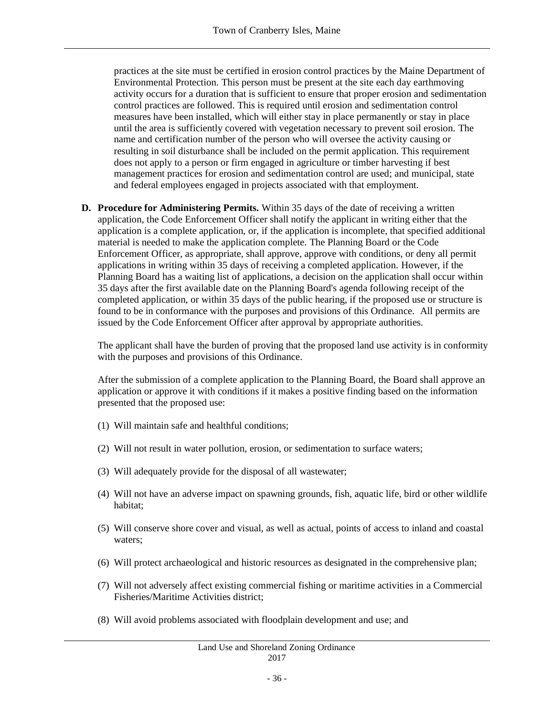practices at the site must be certified in erosion control practices by the Maine Department of Environmental Protection. This person must be present at the site each day earthmoving activity occurs for a duration that is sufficient to ensure that proper erosion and sedimentation control practices are followed. This is required until erosion and sedimentation control measures have been installed, which will either stay in place permanently or stay in place until the area is sufficiently covered with vegetation necessary to prevent soil erosion. The name and certification number of the person who will oversee the activity causing or resulting in soil disturbance shall be included on the permit application. This requirement does not apply to a person or firm engaged in agriculture or timber harvesting if best management practices for erosion and sedimentation control are used; and municipal, state and federal employees engaged in projects associated with that employment.

**D. Procedure for Administering Permits.** Within 35 days of the date of receiving a written application, the Code Enforcement Officer shall notify the applicant in writing either that the application is a complete application, or, if the application is incomplete, that specified additional material is needed to make the application complete. The Planning Board or the Code Enforcement Officer, as appropriate, shall approve, approve with conditions, or deny all permit applications in writing within 35 days of receiving a completed application. However, if the Planning Board has a waiting list of applications, a decision on the application shall occur within 35 days after the first available date on the Planning Board's agenda following receipt of the completed application, or within 35 days of the public hearing, if the proposed use or structure is found to be in conformance with the purposes and provisions of this Ordinance. All permits are issued by the Code Enforcement Officer after approval by appropriate authorities.

The applicant shall have the burden of proving that the proposed land use activity is in conformity with the purposes and provisions of this Ordinance.

After the submission of a complete application to the Planning Board, the Board shall approve an application or approve it with conditions if it makes a positive finding based on the information presented that the proposed use:

- (1) Will maintain safe and healthful conditions;
- (2) Will not result in water pollution, erosion, or sedimentation to surface waters;
- (3) Will adequately provide for the disposal of all wastewater;
- (4) Will not have an adverse impact on spawning grounds, fish, aquatic life, bird or other wildlife habitat;
- (5) Will conserve shore cover and visual, as well as actual, points of access to inland and coastal waters;
- (6) Will protect archaeological and historic resources as designated in the comprehensive plan;
- (7) Will not adversely affect existing commercial fishing or maritime activities in a Commercial Fisheries/Maritime Activities district;
- (8) Will avoid problems associated with floodplain development and use; and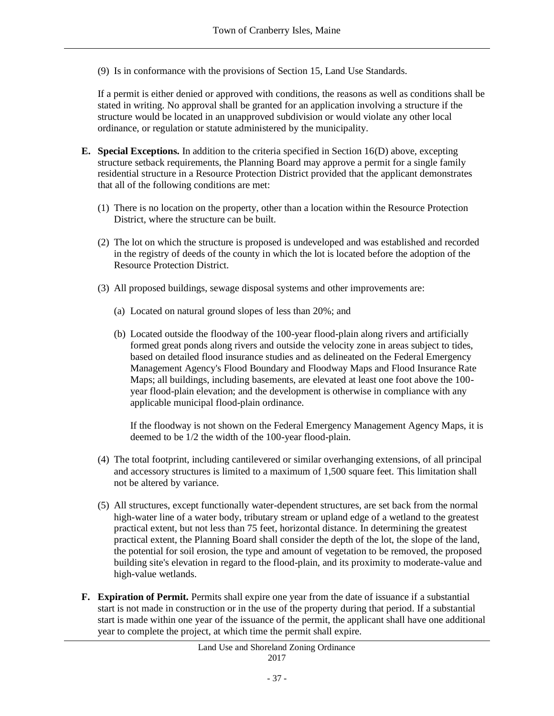(9) Is in conformance with the provisions of Section 15, Land Use Standards.

If a permit is either denied or approved with conditions, the reasons as well as conditions shall be stated in writing. No approval shall be granted for an application involving a structure if the structure would be located in an unapproved subdivision or would violate any other local ordinance, or regulation or statute administered by the municipality.

- **E. Special Exceptions.** In addition to the criteria specified in Section 16(D) above, excepting structure setback requirements, the Planning Board may approve a permit for a single family residential structure in a Resource Protection District provided that the applicant demonstrates that all of the following conditions are met:
	- (1) There is no location on the property, other than a location within the Resource Protection District, where the structure can be built.
	- (2) The lot on which the structure is proposed is undeveloped and was established and recorded in the registry of deeds of the county in which the lot is located before the adoption of the Resource Protection District.
	- (3) All proposed buildings, sewage disposal systems and other improvements are:
		- (a) Located on natural ground slopes of less than 20%; and
		- (b) Located outside the floodway of the 100-year flood-plain along rivers and artificially formed great ponds along rivers and outside the velocity zone in areas subject to tides, based on detailed flood insurance studies and as delineated on the Federal Emergency Management Agency's Flood Boundary and Floodway Maps and Flood Insurance Rate Maps; all buildings, including basements, are elevated at least one foot above the 100 year flood-plain elevation; and the development is otherwise in compliance with any applicable municipal flood-plain ordinance.

If the floodway is not shown on the Federal Emergency Management Agency Maps, it is deemed to be 1/2 the width of the 100-year flood-plain.

- (4) The total footprint, including cantilevered or similar overhanging extensions, of all principal and accessory structures is limited to a maximum of 1,500 square feet. This limitation shall not be altered by variance.
- (5) All structures, except functionally water-dependent structures, are set back from the normal high-water line of a water body, tributary stream or upland edge of a wetland to the greatest practical extent, but not less than 75 feet, horizontal distance. In determining the greatest practical extent, the Planning Board shall consider the depth of the lot, the slope of the land, the potential for soil erosion, the type and amount of vegetation to be removed, the proposed building site's elevation in regard to the flood-plain, and its proximity to moderate-value and high-value wetlands.
- **F. Expiration of Permit.** Permits shall expire one year from the date of issuance if a substantial start is not made in construction or in the use of the property during that period. If a substantial start is made within one year of the issuance of the permit, the applicant shall have one additional year to complete the project, at which time the permit shall expire.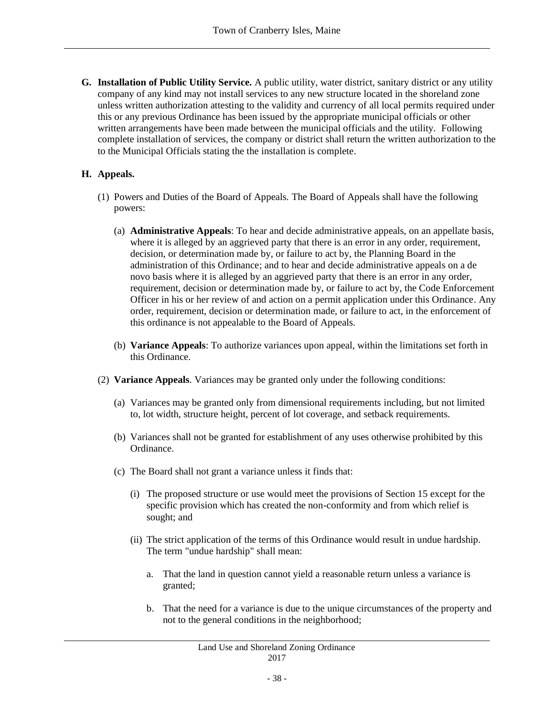**G. Installation of Public Utility Service.** A public utility, water district, sanitary district or any utility company of any kind may not install services to any new structure located in the shoreland zone unless written authorization attesting to the validity and currency of all local permits required under this or any previous Ordinance has been issued by the appropriate municipal officials or other written arrangements have been made between the municipal officials and the utility. Following complete installation of services, the company or district shall return the written authorization to the to the Municipal Officials stating the the installation is complete.

## **H. Appeals.**

- (1) Powers and Duties of the Board of Appeals. The Board of Appeals shall have the following powers:
	- (a) **Administrative Appeals**: To hear and decide administrative appeals, on an appellate basis, where it is alleged by an aggrieved party that there is an error in any order, requirement, decision, or determination made by, or failure to act by, the Planning Board in the administration of this Ordinance; and to hear and decide administrative appeals on a de novo basis where it is alleged by an aggrieved party that there is an error in any order, requirement, decision or determination made by, or failure to act by, the Code Enforcement Officer in his or her review of and action on a permit application under this Ordinance. Any order, requirement, decision or determination made, or failure to act, in the enforcement of this ordinance is not appealable to the Board of Appeals.
	- (b) **Variance Appeals**: To authorize variances upon appeal, within the limitations set forth in this Ordinance.
- (2) **Variance Appeals**. Variances may be granted only under the following conditions:
	- (a) Variances may be granted only from dimensional requirements including, but not limited to, lot width, structure height, percent of lot coverage, and setback requirements.
	- (b) Variances shall not be granted for establishment of any uses otherwise prohibited by this Ordinance.
	- (c) The Board shall not grant a variance unless it finds that:
		- (i) The proposed structure or use would meet the provisions of Section 15 except for the specific provision which has created the non-conformity and from which relief is sought; and
		- (ii) The strict application of the terms of this Ordinance would result in undue hardship. The term "undue hardship" shall mean:
			- a. That the land in question cannot yield a reasonable return unless a variance is granted;
			- b. That the need for a variance is due to the unique circumstances of the property and not to the general conditions in the neighborhood;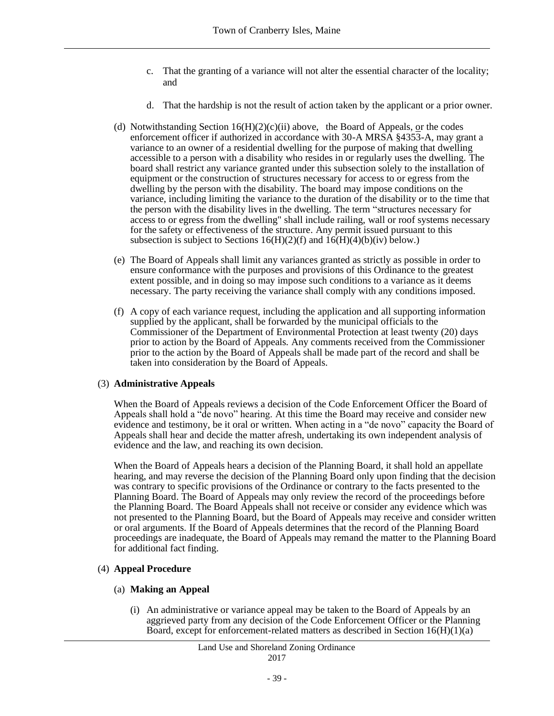- c. That the granting of a variance will not alter the essential character of the locality; and
- d. That the hardship is not the result of action taken by the applicant or a prior owner.
- (d) Notwithstanding Section  $16(H)(2)(c)(ii)$  above, the Board of Appeals, or the codes enforcement officer if authorized in accordance with 30-A MRSA §4353-A, may grant a variance to an owner of a residential dwelling for the purpose of making that dwelling accessible to a person with a disability who resides in or regularly uses the dwelling. The board shall restrict any variance granted under this subsection solely to the installation of equipment or the construction of structures necessary for access to or egress from the dwelling by the person with the disability. The board may impose conditions on the variance, including limiting the variance to the duration of the disability or to the time that the person with the disability lives in the dwelling. The term "structures necessary for access to or egress from the dwelling" shall include railing, wall or roof systems necessary for the safety or effectiveness of the structure. Any permit issued pursuant to this subsection is subject to Sections  $16(H)(2)(f)$  and  $16(H)(4)(b)(iv)$  below.)
- (e) The Board of Appeals shall limit any variances granted as strictly as possible in order to ensure conformance with the purposes and provisions of this Ordinance to the greatest extent possible, and in doing so may impose such conditions to a variance as it deems necessary. The party receiving the variance shall comply with any conditions imposed.
- (f) A copy of each variance request, including the application and all supporting information supplied by the applicant, shall be forwarded by the municipal officials to the Commissioner of the Department of Environmental Protection at least twenty (20) days prior to action by the Board of Appeals. Any comments received from the Commissioner prior to the action by the Board of Appeals shall be made part of the record and shall be taken into consideration by the Board of Appeals.

#### (3) **Administrative Appeals**

When the Board of Appeals reviews a decision of the Code Enforcement Officer the Board of Appeals shall hold a "de novo" hearing. At this time the Board may receive and consider new evidence and testimony, be it oral or written. When acting in a "de novo" capacity the Board of Appeals shall hear and decide the matter afresh, undertaking its own independent analysis of evidence and the law, and reaching its own decision.

When the Board of Appeals hears a decision of the Planning Board, it shall hold an appellate hearing, and may reverse the decision of the Planning Board only upon finding that the decision was contrary to specific provisions of the Ordinance or contrary to the facts presented to the Planning Board. The Board of Appeals may only review the record of the proceedings before the Planning Board. The Board Appeals shall not receive or consider any evidence which was not presented to the Planning Board, but the Board of Appeals may receive and consider written or oral arguments. If the Board of Appeals determines that the record of the Planning Board proceedings are inadequate, the Board of Appeals may remand the matter to the Planning Board for additional fact finding.

#### (4) **Appeal Procedure**

#### (a) **Making an Appeal**

(i) An administrative or variance appeal may be taken to the Board of Appeals by an aggrieved party from any decision of the Code Enforcement Officer or the Planning Board, except for enforcement-related matters as described in Section 16(H)(1)(a)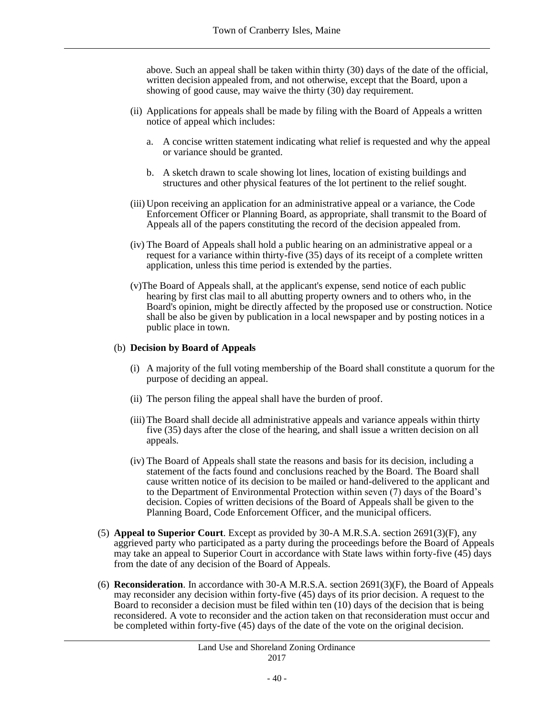above. Such an appeal shall be taken within thirty (30) days of the date of the official, written decision appealed from, and not otherwise, except that the Board, upon a showing of good cause, may waive the thirty (30) day requirement.

- (ii) Applications for appeals shall be made by filing with the Board of Appeals a written notice of appeal which includes:
	- a. A concise written statement indicating what relief is requested and why the appeal or variance should be granted.
	- b. A sketch drawn to scale showing lot lines, location of existing buildings and structures and other physical features of the lot pertinent to the relief sought.
- (iii) Upon receiving an application for an administrative appeal or a variance, the Code Enforcement Officer or Planning Board, as appropriate, shall transmit to the Board of Appeals all of the papers constituting the record of the decision appealed from.
- (iv) The Board of Appeals shall hold a public hearing on an administrative appeal or a request for a variance within thirty-five (35) days of its receipt of a complete written application, unless this time period is extended by the parties.
- (v)The Board of Appeals shall, at the applicant's expense, send notice of each public hearing by first clas mail to all abutting property owners and to others who, in the Board's opinion, might be directly affected by the proposed use or construction. Notice shall be also be given by publication in a local newspaper and by posting notices in a public place in town.

#### (b) **Decision by Board of Appeals**

- (i) A majority of the full voting membership of the Board shall constitute a quorum for the purpose of deciding an appeal.
- (ii) The person filing the appeal shall have the burden of proof.
- (iii) The Board shall decide all administrative appeals and variance appeals within thirty five (35) days after the close of the hearing, and shall issue a written decision on all appeals.
- (iv) The Board of Appeals shall state the reasons and basis for its decision, including a statement of the facts found and conclusions reached by the Board. The Board shall cause written notice of its decision to be mailed or hand-delivered to the applicant and to the Department of Environmental Protection within seven (7) days of the Board's decision. Copies of written decisions of the Board of Appeals shall be given to the Planning Board, Code Enforcement Officer, and the municipal officers.
- (5) **Appeal to Superior Court**. Except as provided by 30-A M.R.S.A. section 2691(3)(F), any aggrieved party who participated as a party during the proceedings before the Board of Appeals may take an appeal to Superior Court in accordance with State laws within forty-five (45) days from the date of any decision of the Board of Appeals.
- (6) **Reconsideration**. In accordance with 30-A M.R.S.A. section 2691(3)(F), the Board of Appeals may reconsider any decision within forty-five (45) days of its prior decision. A request to the Board to reconsider a decision must be filed within ten (10) days of the decision that is being reconsidered. A vote to reconsider and the action taken on that reconsideration must occur and be completed within forty-five (45) days of the date of the vote on the original decision.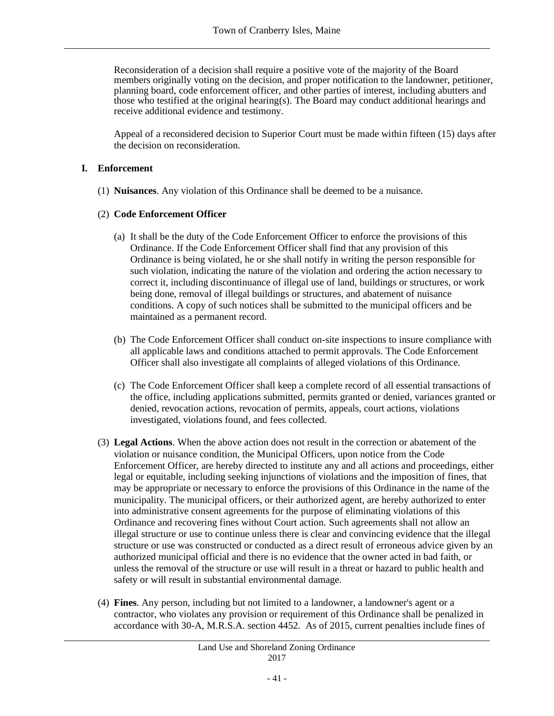Reconsideration of a decision shall require a positive vote of the majority of the Board members originally voting on the decision, and proper notification to the landowner, petitioner, planning board, code enforcement officer, and other parties of interest, including abutters and those who testified at the original hearing(s). The Board may conduct additional hearings and receive additional evidence and testimony.

Appeal of a reconsidered decision to Superior Court must be made within fifteen (15) days after the decision on reconsideration.

### **I. Enforcement**

(1) **Nuisances**. Any violation of this Ordinance shall be deemed to be a nuisance.

## (2) **Code Enforcement Officer**

- (a) It shall be the duty of the Code Enforcement Officer to enforce the provisions of this Ordinance. If the Code Enforcement Officer shall find that any provision of this Ordinance is being violated, he or she shall notify in writing the person responsible for such violation, indicating the nature of the violation and ordering the action necessary to correct it, including discontinuance of illegal use of land, buildings or structures, or work being done, removal of illegal buildings or structures, and abatement of nuisance conditions. A copy of such notices shall be submitted to the municipal officers and be maintained as a permanent record.
- (b) The Code Enforcement Officer shall conduct on-site inspections to insure compliance with all applicable laws and conditions attached to permit approvals. The Code Enforcement Officer shall also investigate all complaints of alleged violations of this Ordinance.
- (c) The Code Enforcement Officer shall keep a complete record of all essential transactions of the office, including applications submitted, permits granted or denied, variances granted or denied, revocation actions, revocation of permits, appeals, court actions, violations investigated, violations found, and fees collected.
- (3) **Legal Actions**. When the above action does not result in the correction or abatement of the violation or nuisance condition, the Municipal Officers, upon notice from the Code Enforcement Officer, are hereby directed to institute any and all actions and proceedings, either legal or equitable, including seeking injunctions of violations and the imposition of fines, that may be appropriate or necessary to enforce the provisions of this Ordinance in the name of the municipality. The municipal officers, or their authorized agent, are hereby authorized to enter into administrative consent agreements for the purpose of eliminating violations of this Ordinance and recovering fines without Court action. Such agreements shall not allow an illegal structure or use to continue unless there is clear and convincing evidence that the illegal structure or use was constructed or conducted as a direct result of erroneous advice given by an authorized municipal official and there is no evidence that the owner acted in bad faith, or unless the removal of the structure or use will result in a threat or hazard to public health and safety or will result in substantial environmental damage.
- (4) **Fines**. Any person, including but not limited to a landowner, a landowner's agent or a contractor, who violates any provision or requirement of this Ordinance shall be penalized in accordance with 30-A, M.R.S.A. section 4452. As of 2015, current penalties include fines of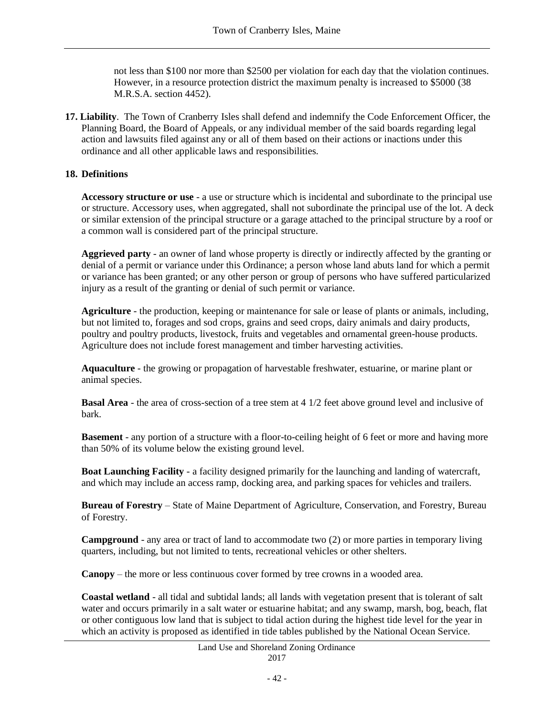not less than \$100 nor more than \$2500 per violation for each day that the violation continues. However, in a resource protection district the maximum penalty is increased to \$5000 (38 M.R.S.A. section 4452).

**17. Liability**. The Town of Cranberry Isles shall defend and indemnify the Code Enforcement Officer, the Planning Board, the Board of Appeals, or any individual member of the said boards regarding legal action and lawsuits filed against any or all of them based on their actions or inactions under this ordinance and all other applicable laws and responsibilities.

## **18. Definitions**

**Accessory structure or use** - a use or structure which is incidental and subordinate to the principal use or structure. Accessory uses, when aggregated, shall not subordinate the principal use of the lot. A deck or similar extension of the principal structure or a garage attached to the principal structure by a roof or a common wall is considered part of the principal structure.

**Aggrieved party** - an owner of land whose property is directly or indirectly affected by the granting or denial of a permit or variance under this Ordinance; a person whose land abuts land for which a permit or variance has been granted; or any other person or group of persons who have suffered particularized injury as a result of the granting or denial of such permit or variance.

**Agriculture** - the production, keeping or maintenance for sale or lease of plants or animals, including, but not limited to, forages and sod crops, grains and seed crops, dairy animals and dairy products, poultry and poultry products, livestock, fruits and vegetables and ornamental green-house products. Agriculture does not include forest management and timber harvesting activities.

**Aquaculture** - the growing or propagation of harvestable freshwater, estuarine, or marine plant or animal species.

**Basal Area** - the area of cross-section of a tree stem at 4 1/2 feet above ground level and inclusive of bark.

**Basement** - any portion of a structure with a floor-to-ceiling height of 6 feet or more and having more than 50% of its volume below the existing ground level.

**Boat Launching Facility** - a facility designed primarily for the launching and landing of watercraft, and which may include an access ramp, docking area, and parking spaces for vehicles and trailers.

**Bureau of Forestry** – State of Maine Department of Agriculture, Conservation, and Forestry, Bureau of Forestry.

**Campground** - any area or tract of land to accommodate two (2) or more parties in temporary living quarters, including, but not limited to tents, recreational vehicles or other shelters.

**Canopy** – the more or less continuous cover formed by tree crowns in a wooded area.

**Coastal wetland** - all tidal and subtidal lands; all lands with vegetation present that is tolerant of salt water and occurs primarily in a salt water or estuarine habitat; and any swamp, marsh, bog, beach, flat or other contiguous low land that is subject to tidal action during the highest tide level for the year in which an activity is proposed as identified in tide tables published by the National Ocean Service.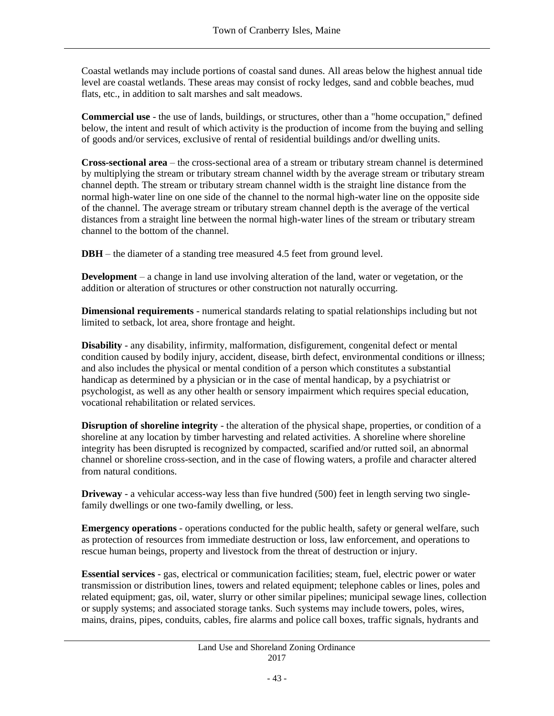Coastal wetlands may include portions of coastal sand dunes. All areas below the highest annual tide level are coastal wetlands. These areas may consist of rocky ledges, sand and cobble beaches, mud flats, etc., in addition to salt marshes and salt meadows.

**Commercial use** - the use of lands, buildings, or structures, other than a "home occupation," defined below, the intent and result of which activity is the production of income from the buying and selling of goods and/or services, exclusive of rental of residential buildings and/or dwelling units.

**Cross-sectional area** – the cross-sectional area of a stream or tributary stream channel is determined by multiplying the stream or tributary stream channel width by the average stream or tributary stream channel depth. The stream or tributary stream channel width is the straight line distance from the normal high-water line on one side of the channel to the normal high-water line on the opposite side of the channel. The average stream or tributary stream channel depth is the average of the vertical distances from a straight line between the normal high-water lines of the stream or tributary stream channel to the bottom of the channel.

**DBH** – the diameter of a standing tree measured 4.5 feet from ground level.

**Development** – a change in land use involving alteration of the land, water or vegetation, or the addition or alteration of structures or other construction not naturally occurring.

**Dimensional requirements** - numerical standards relating to spatial relationships including but not limited to setback, lot area, shore frontage and height.

**Disability** - any disability, infirmity, malformation, disfigurement, congenital defect or mental condition caused by bodily injury, accident, disease, birth defect, environmental conditions or illness; and also includes the physical or mental condition of a person which constitutes a substantial handicap as determined by a physician or in the case of mental handicap, by a psychiatrist or psychologist, as well as any other health or sensory impairment which requires special education, vocational rehabilitation or related services.

**Disruption of shoreline integrity** - the alteration of the physical shape, properties, or condition of a shoreline at any location by timber harvesting and related activities. A shoreline where shoreline integrity has been disrupted is recognized by compacted, scarified and/or rutted soil, an abnormal channel or shoreline cross-section, and in the case of flowing waters, a profile and character altered from natural conditions.

**Driveway** - a vehicular access-way less than five hundred (500) feet in length serving two singlefamily dwellings or one two-family dwelling, or less.

**Emergency operations** - operations conducted for the public health, safety or general welfare, such as protection of resources from immediate destruction or loss, law enforcement, and operations to rescue human beings, property and livestock from the threat of destruction or injury.

**Essential services** - gas, electrical or communication facilities; steam, fuel, electric power or water transmission or distribution lines, towers and related equipment; telephone cables or lines, poles and related equipment; gas, oil, water, slurry or other similar pipelines; municipal sewage lines, collection or supply systems; and associated storage tanks. Such systems may include towers, poles, wires, mains, drains, pipes, conduits, cables, fire alarms and police call boxes, traffic signals, hydrants and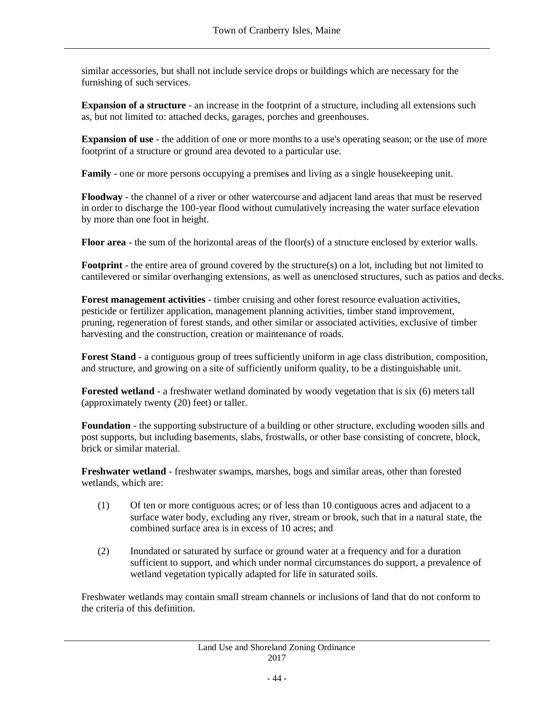similar accessories, but shall not include service drops or buildings which are necessary for the furnishing of such services.

**Expansion of a structure** - an increase in the footprint of a structure, including all extensions such as, but not limited to: attached decks, garages, porches and greenhouses.

**Expansion of use** - the addition of one or more months to a use's operating season; or the use of more footprint of a structure or ground area devoted to a particular use.

**Family** - one or more persons occupying a premises and living as a single housekeeping unit.

**Floodway** - the channel of a river or other watercourse and adjacent land areas that must be reserved in order to discharge the 100-year flood without cumulatively increasing the water surface elevation by more than one foot in height.

**Floor area** - the sum of the horizontal areas of the floor(s) of a structure enclosed by exterior walls.

**Footprint** - the entire area of ground covered by the structure(s) on a lot, including but not limited to cantilevered or similar overhanging extensions, as well as unenclosed structures, such as patios and decks.

**Forest management activities** - timber cruising and other forest resource evaluation activities, pesticide or fertilizer application, management planning activities, timber stand improvement, pruning, regeneration of forest stands, and other similar or associated activities, exclusive of timber harvesting and the construction, creation or maintenance of roads.

**Forest Stand** - a contiguous group of trees sufficiently uniform in age class distribution, composition, and structure, and growing on a site of sufficiently uniform quality, to be a distinguishable unit.

**Forested wetland** - a freshwater wetland dominated by woody vegetation that is six (6) meters tall (approximately twenty (20) feet) or taller.

**Foundation** - the supporting substructure of a building or other structure, excluding wooden sills and post supports, but including basements, slabs, frostwalls, or other base consisting of concrete, block, brick or similar material.

**Freshwater wetland** - freshwater swamps, marshes, bogs and similar areas, other than forested wetlands, which are:

- (1) Of ten or more contiguous acres; or of less than 10 contiguous acres and adjacent to a surface water body, excluding any river, stream or brook, such that in a natural state, the combined surface area is in excess of 10 acres; and
- (2) Inundated or saturated by surface or ground water at a frequency and for a duration sufficient to support, and which under normal circumstances do support, a prevalence of wetland vegetation typically adapted for life in saturated soils.

Freshwater wetlands may contain small stream channels or inclusions of land that do not conform to the criteria of this definition.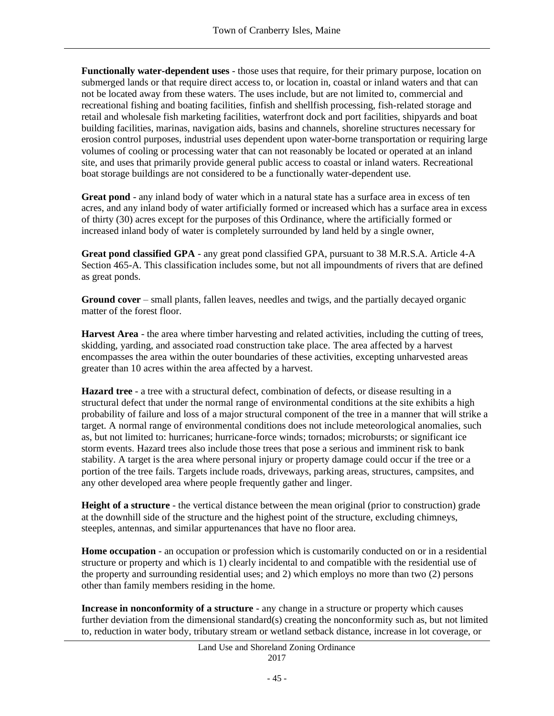**Functionally water-dependent uses** - those uses that require, for their primary purpose, location on submerged lands or that require direct access to, or location in, coastal or inland waters and that can not be located away from these waters. The uses include, but are not limited to, commercial and recreational fishing and boating facilities, finfish and shellfish processing, fish-related storage and retail and wholesale fish marketing facilities, waterfront dock and port facilities, shipyards and boat building facilities, marinas, navigation aids, basins and channels, shoreline structures necessary for erosion control purposes, industrial uses dependent upon water-borne transportation or requiring large volumes of cooling or processing water that can not reasonably be located or operated at an inland site, and uses that primarily provide general public access to coastal or inland waters. Recreational boat storage buildings are not considered to be a functionally water-dependent use.

**Great pond** - any inland body of water which in a natural state has a surface area in excess of ten acres, and any inland body of water artificially formed or increased which has a surface area in excess of thirty (30) acres except for the purposes of this Ordinance, where the artificially formed or increased inland body of water is completely surrounded by land held by a single owner,

**Great pond classified GPA** - any great pond classified GPA, pursuant to 38 M.R.S.A. Article 4-A Section 465-A. This classification includes some, but not all impoundments of rivers that are defined as great ponds.

**Ground cover** – small plants, fallen leaves, needles and twigs, and the partially decayed organic matter of the forest floor.

**Harvest Area** - the area where timber harvesting and related activities, including the cutting of trees, skidding, yarding, and associated road construction take place. The area affected by a harvest encompasses the area within the outer boundaries of these activities, excepting unharvested areas greater than 10 acres within the area affected by a harvest.

**Hazard tree** - a tree with a structural defect, combination of defects, or disease resulting in a structural defect that under the normal range of environmental conditions at the site exhibits a high probability of failure and loss of a major structural component of the tree in a manner that will strike a target. A normal range of environmental conditions does not include meteorological anomalies, such as, but not limited to: hurricanes; hurricane-force winds; tornados; microbursts; or significant ice storm events. Hazard trees also include those trees that pose a serious and imminent risk to bank stability. A target is the area where personal injury or property damage could occur if the tree or a portion of the tree fails. Targets include roads, driveways, parking areas, structures, campsites, and any other developed area where people frequently gather and linger.

**Height of a structure** - the vertical distance between the mean original (prior to construction) grade at the downhill side of the structure and the highest point of the structure, excluding chimneys, steeples, antennas, and similar appurtenances that have no floor area.

**Home occupation** - an occupation or profession which is customarily conducted on or in a residential structure or property and which is 1) clearly incidental to and compatible with the residential use of the property and surrounding residential uses; and 2) which employs no more than two (2) persons other than family members residing in the home.

**Increase in nonconformity of a structure** - any change in a structure or property which causes further deviation from the dimensional standard(s) creating the nonconformity such as, but not limited to, reduction in water body, tributary stream or wetland setback distance, increase in lot coverage, or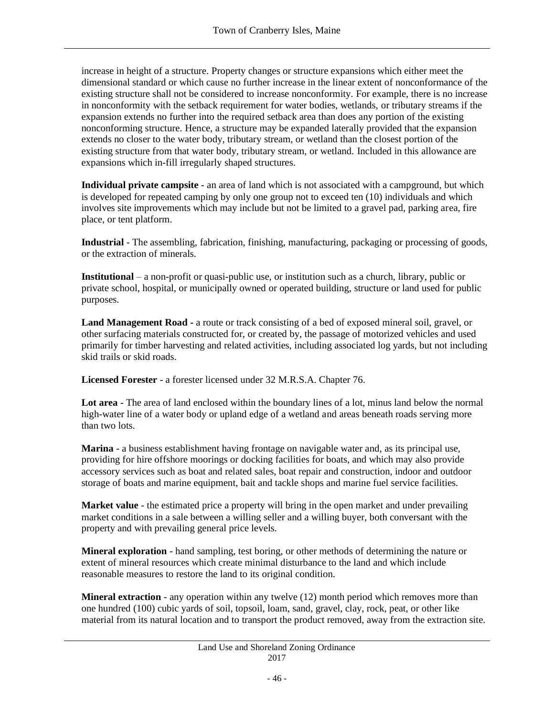increase in height of a structure. Property changes or structure expansions which either meet the dimensional standard or which cause no further increase in the linear extent of nonconformance of the existing structure shall not be considered to increase nonconformity. For example, there is no increase in nonconformity with the setback requirement for water bodies, wetlands, or tributary streams if the expansion extends no further into the required setback area than does any portion of the existing nonconforming structure. Hence, a structure may be expanded laterally provided that the expansion extends no closer to the water body, tributary stream, or wetland than the closest portion of the existing structure from that water body, tributary stream, or wetland. Included in this allowance are expansions which in-fill irregularly shaped structures.

**Individual private campsite** - an area of land which is not associated with a campground, but which is developed for repeated camping by only one group not to exceed ten (10) individuals and which involves site improvements which may include but not be limited to a gravel pad, parking area, fire place, or tent platform.

**Industrial** - The assembling, fabrication, finishing, manufacturing, packaging or processing of goods, or the extraction of minerals.

**Institutional** – a non-profit or quasi-public use, or institution such as a church, library, public or private school, hospital, or municipally owned or operated building, structure or land used for public purposes.

**Land Management Road -** a route or track consisting of a bed of exposed mineral soil, gravel, or other surfacing materials constructed for, or created by, the passage of motorized vehicles and used primarily for timber harvesting and related activities, including associated log yards, but not including skid trails or skid roads.

**Licensed Forester** - a forester licensed under 32 M.R.S.A. Chapter 76.

**Lot area** - The area of land enclosed within the boundary lines of a lot, minus land below the normal high-water line of a water body or upland edge of a wetland and areas beneath roads serving more than two lots.

**Marina** - a business establishment having frontage on navigable water and, as its principal use, providing for hire offshore moorings or docking facilities for boats, and which may also provide accessory services such as boat and related sales, boat repair and construction, indoor and outdoor storage of boats and marine equipment, bait and tackle shops and marine fuel service facilities.

**Market value** - the estimated price a property will bring in the open market and under prevailing market conditions in a sale between a willing seller and a willing buyer, both conversant with the property and with prevailing general price levels.

**Mineral exploration** - hand sampling, test boring, or other methods of determining the nature or extent of mineral resources which create minimal disturbance to the land and which include reasonable measures to restore the land to its original condition.

**Mineral extraction** - any operation within any twelve (12) month period which removes more than one hundred (100) cubic yards of soil, topsoil, loam, sand, gravel, clay, rock, peat, or other like material from its natural location and to transport the product removed, away from the extraction site.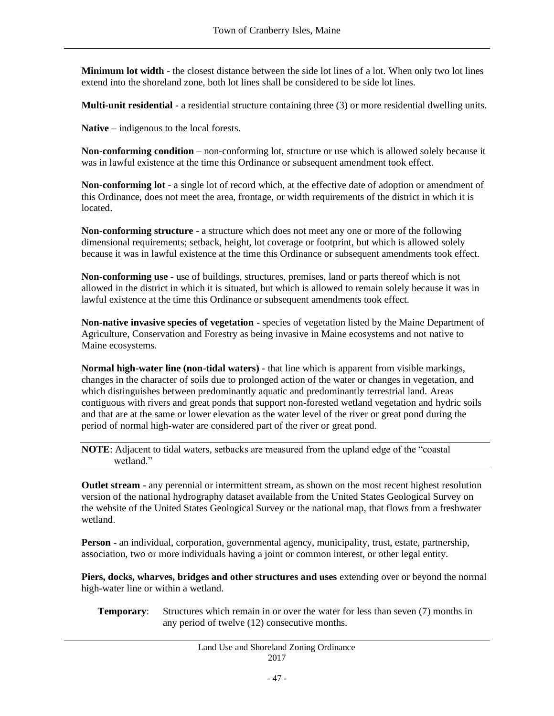**Minimum lot width** - the closest distance between the side lot lines of a lot. When only two lot lines extend into the shoreland zone, both lot lines shall be considered to be side lot lines.

**Multi-unit residential** - a residential structure containing three (3) or more residential dwelling units.

**Native** – indigenous to the local forests.

**Non-conforming condition** – non-conforming lot, structure or use which is allowed solely because it was in lawful existence at the time this Ordinance or subsequent amendment took effect.

**Non-conforming lot** - a single lot of record which, at the effective date of adoption or amendment of this Ordinance, does not meet the area, frontage, or width requirements of the district in which it is located.

**Non-conforming structure** - a structure which does not meet any one or more of the following dimensional requirements; setback, height, lot coverage or footprint, but which is allowed solely because it was in lawful existence at the time this Ordinance or subsequent amendments took effect.

**Non-conforming use** - use of buildings, structures, premises, land or parts thereof which is not allowed in the district in which it is situated, but which is allowed to remain solely because it was in lawful existence at the time this Ordinance or subsequent amendments took effect.

**Non-native invasive species of vegetation** - species of vegetation listed by the Maine Department of Agriculture, Conservation and Forestry as being invasive in Maine ecosystems and not native to Maine ecosystems.

**Normal high-water line (non-tidal waters)** - that line which is apparent from visible markings, changes in the character of soils due to prolonged action of the water or changes in vegetation, and which distinguishes between predominantly aquatic and predominantly terrestrial land. Areas contiguous with rivers and great ponds that support non-forested wetland vegetation and hydric soils and that are at the same or lower elevation as the water level of the river or great pond during the period of normal high-water are considered part of the river or great pond.

**NOTE**: Adjacent to tidal waters, setbacks are measured from the upland edge of the "coastal wetland."

**Outlet stream -** any perennial or intermittent stream, as shown on the most recent highest resolution version of the national hydrography dataset available from the United States Geological Survey on the website of the United States Geological Survey or the national map, that flows from a freshwater wetland.

**Person** - an individual, corporation, governmental agency, municipality, trust, estate, partnership, association, two or more individuals having a joint or common interest, or other legal entity.

**Piers, docks, wharves, bridges and other structures and uses** extending over or beyond the normal high-water line or within a wetland.

#### **Temporary:** Structures which remain in or over the water for less than seven (7) months in any period of twelve (12) consecutive months.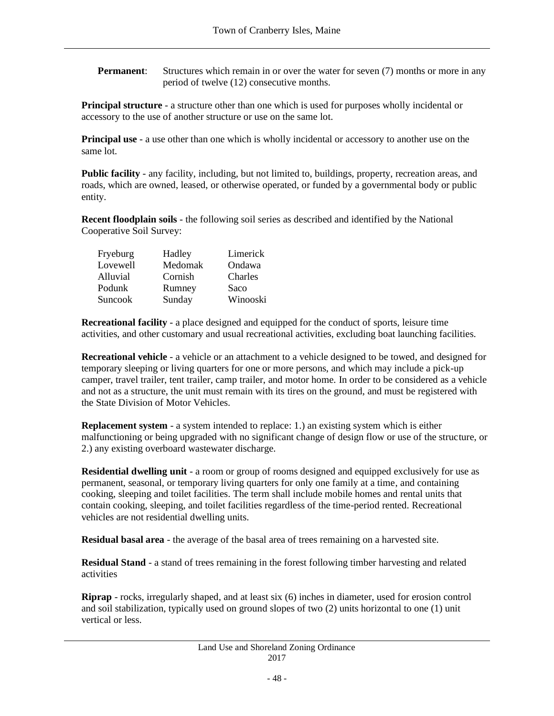**Permanent:** Structures which remain in or over the water for seven (7) months or more in any period of twelve (12) consecutive months.

**Principal structure** - a structure other than one which is used for purposes wholly incidental or accessory to the use of another structure or use on the same lot.

**Principal use** - a use other than one which is wholly incidental or accessory to another use on the same lot.

**Public facility** - any facility, including, but not limited to, buildings, property, recreation areas, and roads, which are owned, leased, or otherwise operated, or funded by a governmental body or public entity.

**Recent floodplain soils** - the following soil series as described and identified by the National Cooperative Soil Survey:

| Fryeburg | Hadley  | Limerick |
|----------|---------|----------|
| Lovewell | Medomak | Ondawa   |
| Alluvial | Cornish | Charles  |
| Podunk   | Rumney  | Saco     |
| Suncook  | Sunday  | Winooski |

**Recreational facility** - a place designed and equipped for the conduct of sports, leisure time activities, and other customary and usual recreational activities, excluding boat launching facilities.

**Recreational vehicle** - a vehicle or an attachment to a vehicle designed to be towed, and designed for temporary sleeping or living quarters for one or more persons, and which may include a pick-up camper, travel trailer, tent trailer, camp trailer, and motor home. In order to be considered as a vehicle and not as a structure, the unit must remain with its tires on the ground, and must be registered with the State Division of Motor Vehicles.

**Replacement system** - a system intended to replace: 1.) an existing system which is either malfunctioning or being upgraded with no significant change of design flow or use of the structure, or 2.) any existing overboard wastewater discharge.

**Residential dwelling unit** - a room or group of rooms designed and equipped exclusively for use as permanent, seasonal, or temporary living quarters for only one family at a time, and containing cooking, sleeping and toilet facilities. The term shall include mobile homes and rental units that contain cooking, sleeping, and toilet facilities regardless of the time-period rented. Recreational vehicles are not residential dwelling units.

**Residual basal area** - the average of the basal area of trees remaining on a harvested site.

**Residual Stand** - a stand of trees remaining in the forest following timber harvesting and related activities

**Riprap** - rocks, irregularly shaped, and at least six (6) inches in diameter, used for erosion control and soil stabilization, typically used on ground slopes of two (2) units horizontal to one (1) unit vertical or less.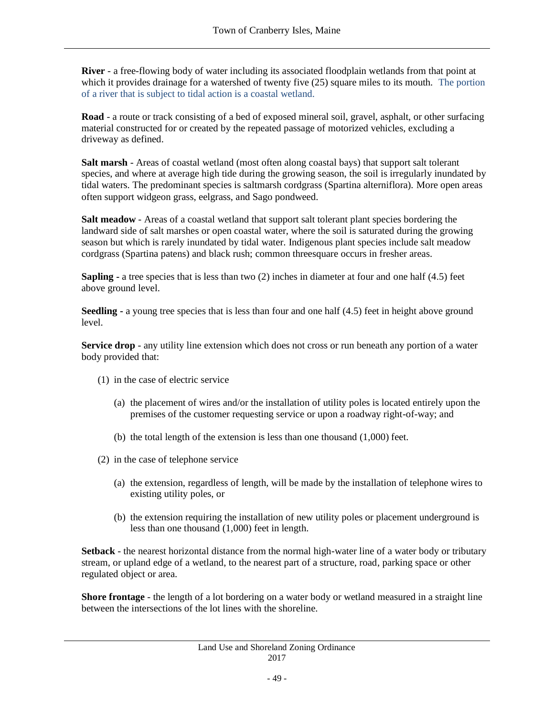**River** - a free-flowing body of water including its associated floodplain wetlands from that point at which it provides drainage for a watershed of twenty five (25) square miles to its mouth. The portion of a river that is subject to tidal action is a coastal wetland.

**Road** - a route or track consisting of a bed of exposed mineral soil, gravel, asphalt, or other surfacing material constructed for or created by the repeated passage of motorized vehicles, excluding a driveway as defined.

**Salt marsh** - Areas of coastal wetland (most often along coastal bays) that support salt tolerant species, and where at average high tide during the growing season, the soil is irregularly inundated by tidal waters. The predominant species is saltmarsh cordgrass (Spartina alterniflora). More open areas often support widgeon grass, eelgrass, and Sago pondweed.

**Salt meadow** - Areas of a coastal wetland that support salt tolerant plant species bordering the landward side of salt marshes or open coastal water, where the soil is saturated during the growing season but which is rarely inundated by tidal water. Indigenous plant species include salt meadow cordgrass (Spartina patens) and black rush; common threesquare occurs in fresher areas.

**Sapling -** a tree species that is less than two (2) inches in diameter at four and one half (4.5) feet above ground level.

**Seedling -** a young tree species that is less than four and one half (4.5) feet in height above ground level.

**Service drop** - any utility line extension which does not cross or run beneath any portion of a water body provided that:

- (1) in the case of electric service
	- (a) the placement of wires and/or the installation of utility poles is located entirely upon the premises of the customer requesting service or upon a roadway right-of-way; and
	- (b) the total length of the extension is less than one thousand (1,000) feet.
- (2) in the case of telephone service
	- (a) the extension, regardless of length, will be made by the installation of telephone wires to existing utility poles, or
	- (b) the extension requiring the installation of new utility poles or placement underground is less than one thousand (1,000) feet in length.

**Setback** - the nearest horizontal distance from the normal high-water line of a water body or tributary stream, or upland edge of a wetland, to the nearest part of a structure, road, parking space or other regulated object or area.

**Shore frontage** - the length of a lot bordering on a water body or wetland measured in a straight line between the intersections of the lot lines with the shoreline.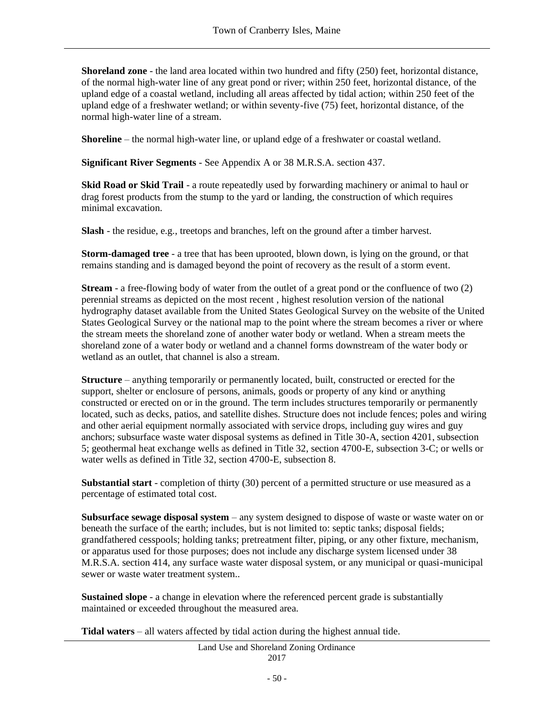**Shoreland zone** - the land area located within two hundred and fifty (250) feet, horizontal distance, of the normal high-water line of any great pond or river; within 250 feet, horizontal distance, of the upland edge of a coastal wetland, including all areas affected by tidal action; within 250 feet of the upland edge of a freshwater wetland; or within seventy-five (75) feet, horizontal distance, of the normal high-water line of a stream.

**Shoreline** – the normal high-water line, or upland edge of a freshwater or coastal wetland.

**Significant River Segments** - See Appendix A or 38 M.R.S.A. section 437.

**Skid Road or Skid Trail** - a route repeatedly used by forwarding machinery or animal to haul or drag forest products from the stump to the yard or landing, the construction of which requires minimal excavation.

**Slash** - the residue, e.g., treetops and branches, left on the ground after a timber harvest.

**Storm-damaged tree** - a tree that has been uprooted, blown down, is lying on the ground, or that remains standing and is damaged beyond the point of recovery as the result of a storm event.

**Stream** - a free-flowing body of water from the outlet of a great pond or the confluence of two (2) perennial streams as depicted on the most recent , highest resolution version of the national hydrography dataset available from the United States Geological Survey on the website of the United States Geological Survey or the national map to the point where the stream becomes a river or where the stream meets the shoreland zone of another water body or wetland. When a stream meets the shoreland zone of a water body or wetland and a channel forms downstream of the water body or wetland as an outlet, that channel is also a stream.

**Structure** – anything temporarily or permanently located, built, constructed or erected for the support, shelter or enclosure of persons, animals, goods or property of any kind or anything constructed or erected on or in the ground. The term includes structures temporarily or permanently located, such as decks, patios, and satellite dishes. Structure does not include fences; poles and wiring and other aerial equipment normally associated with service drops, including guy wires and guy anchors; subsurface waste water disposal systems as defined in Title 30-A, section 4201, subsection 5; geothermal heat exchange wells as defined in Title 32, section 4700-E, subsection 3-C; or wells or water wells as defined in Title 32, section 4700-E, subsection 8.

**Substantial start** - completion of thirty (30) percent of a permitted structure or use measured as a percentage of estimated total cost.

**Subsurface sewage disposal system** – any system designed to dispose of waste or waste water on or beneath the surface of the earth; includes, but is not limited to: septic tanks; disposal fields; grandfathered cesspools; holding tanks; pretreatment filter, piping, or any other fixture, mechanism, or apparatus used for those purposes; does not include any discharge system licensed under 38 M.R.S.A. section 414, any surface waste water disposal system, or any municipal or quasi-municipal sewer or waste water treatment system..

**Sustained slope** - a change in elevation where the referenced percent grade is substantially maintained or exceeded throughout the measured area.

**Tidal waters** – all waters affected by tidal action during the highest annual tide.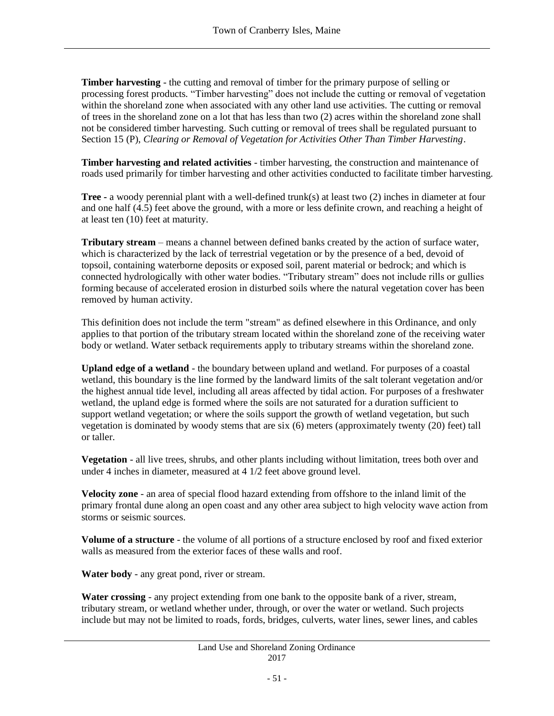**Timber harvesting** - the cutting and removal of timber for the primary purpose of selling or processing forest products. "Timber harvesting" does not include the cutting or removal of vegetation within the shoreland zone when associated with any other land use activities. The cutting or removal of trees in the shoreland zone on a lot that has less than two (2) acres within the shoreland zone shall not be considered timber harvesting. Such cutting or removal of trees shall be regulated pursuant to Section 15 (P), *Clearing or Removal of Vegetation for Activities Other Than Timber Harvesting*.

**Timber harvesting and related activities** - timber harvesting, the construction and maintenance of roads used primarily for timber harvesting and other activities conducted to facilitate timber harvesting.

**Tree -** a woody perennial plant with a well-defined trunk(s) at least two (2) inches in diameter at four and one half (4.5) feet above the ground, with a more or less definite crown, and reaching a height of at least ten (10) feet at maturity.

**Tributary stream** – means a channel between defined banks created by the action of surface water, which is characterized by the lack of terrestrial vegetation or by the presence of a bed, devoid of topsoil, containing waterborne deposits or exposed soil, parent material or bedrock; and which is connected hydrologically with other water bodies. "Tributary stream" does not include rills or gullies forming because of accelerated erosion in disturbed soils where the natural vegetation cover has been removed by human activity.

This definition does not include the term "stream" as defined elsewhere in this Ordinance, and only applies to that portion of the tributary stream located within the shoreland zone of the receiving water body or wetland. Water setback requirements apply to tributary streams within the shoreland zone.

**Upland edge of a wetland** - the boundary between upland and wetland. For purposes of a coastal wetland, this boundary is the line formed by the landward limits of the salt tolerant vegetation and/or the highest annual tide level, including all areas affected by tidal action. For purposes of a freshwater wetland, the upland edge is formed where the soils are not saturated for a duration sufficient to support wetland vegetation; or where the soils support the growth of wetland vegetation, but such vegetation is dominated by woody stems that are six (6) meters (approximately twenty (20) feet) tall or taller.

**Vegetation** - all live trees, shrubs, and other plants including without limitation, trees both over and under 4 inches in diameter, measured at 4 1/2 feet above ground level.

**Velocity zone** - an area of special flood hazard extending from offshore to the inland limit of the primary frontal dune along an open coast and any other area subject to high velocity wave action from storms or seismic sources.

**Volume of a structure** - the volume of all portions of a structure enclosed by roof and fixed exterior walls as measured from the exterior faces of these walls and roof.

**Water body** - any great pond, river or stream.

**Water crossing** - any project extending from one bank to the opposite bank of a river, stream, tributary stream, or wetland whether under, through, or over the water or wetland. Such projects include but may not be limited to roads, fords, bridges, culverts, water lines, sewer lines, and cables